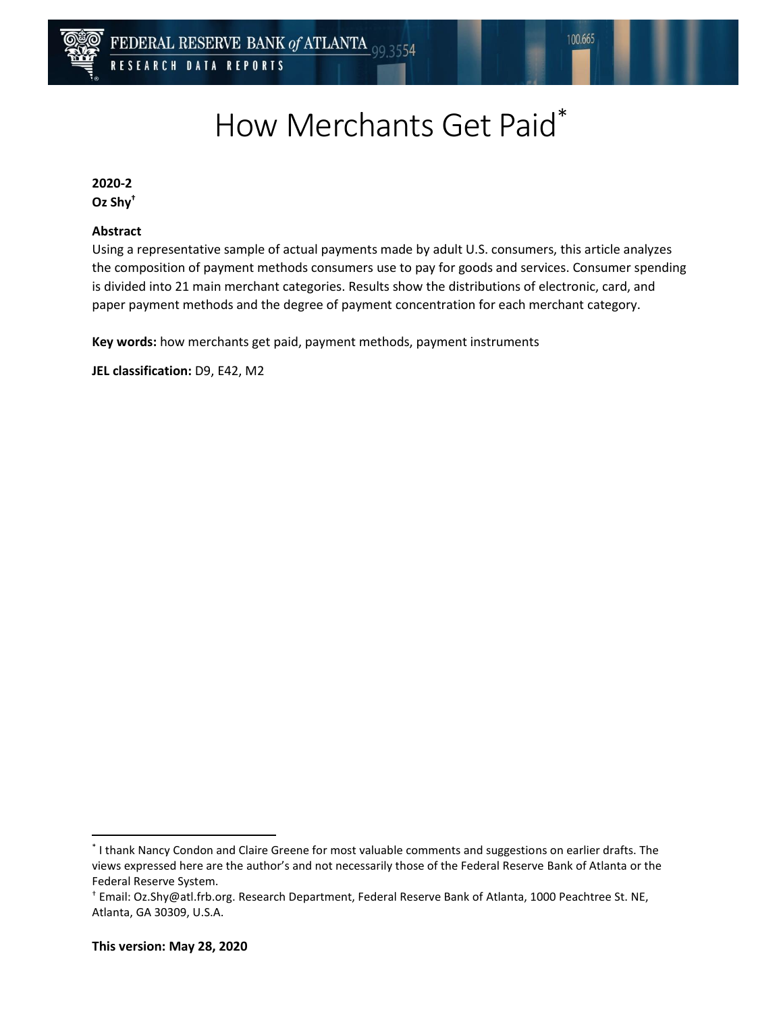

# How Merchants Get Paid\*

**2020-2 Oz Shy†**

#### **Abstract**

Using a representative sample of actual payments made by adult U.S. consumers, this article analyzes the composition of payment methods consumers use to pay for goods and services. Consumer spending is divided into 21 main merchant categories. Results show the distributions of electronic, card, and paper payment methods and the degree of payment concentration for each merchant category.

**Key words:** how merchants get paid, payment methods, payment instruments

**JEL classification:** D9, E42, M2

 $\overline{\phantom{a}}$ 

<sup>\*</sup> I thank Nancy Condon and Claire Greene for most valuable comments and suggestions on earlier drafts. The views expressed here are the author's and not necessarily those of the Federal Reserve Bank of Atlanta or the Federal Reserve System.

<sup>†</sup> Email: Oz.Shy@atl.frb.org. Research Department, Federal Reserve Bank of Atlanta, 1000 Peachtree St. NE, Atlanta, GA 30309, U.S.A.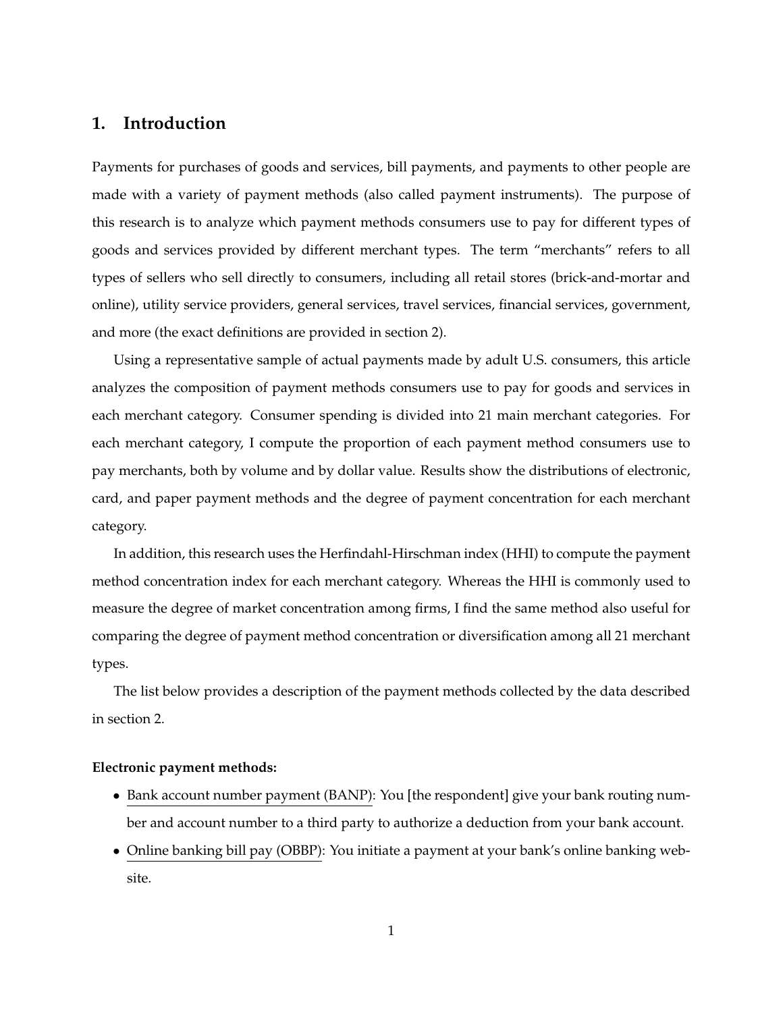### <span id="page-1-0"></span>**1. Introduction**

Payments for purchases of goods and services, bill payments, and payments to other people are made with a variety of payment methods (also called payment instruments). The purpose of this research is to analyze which payment methods consumers use to pay for different types of goods and services provided by different merchant types. The term "merchants" refers to all types of sellers who sell directly to consumers, including all retail stores (brick-and-mortar and online), utility service providers, general services, travel services, financial services, government, and more (the exact definitions are provided in section [2\)](#page-4-0).

Using a representative sample of actual payments made by adult U.S. consumers, this article analyzes the composition of payment methods consumers use to pay for goods and services in each merchant category. Consumer spending is divided into 21 main merchant categories. For each merchant category, I compute the proportion of each payment method consumers use to pay merchants, both by volume and by dollar value. Results show the distributions of electronic, card, and paper payment methods and the degree of payment concentration for each merchant category.

In addition, this research uses the Herfindahl-Hirschman index (HHI) to compute the payment method concentration index for each merchant category. Whereas the HHI is commonly used to measure the degree of market concentration among firms, I find the same method also useful for comparing the degree of payment method concentration or diversification among all 21 merchant types.

The list below provides a description of the payment methods collected by the data described in section [2.](#page-4-0)

#### **Electronic payment methods:**

- Bank account number payment (BANP): You [the respondent] give your bank routing number and account number to a third party to authorize a deduction from your bank account.
- Online banking bill pay (OBBP): You initiate a payment at your bank's online banking website.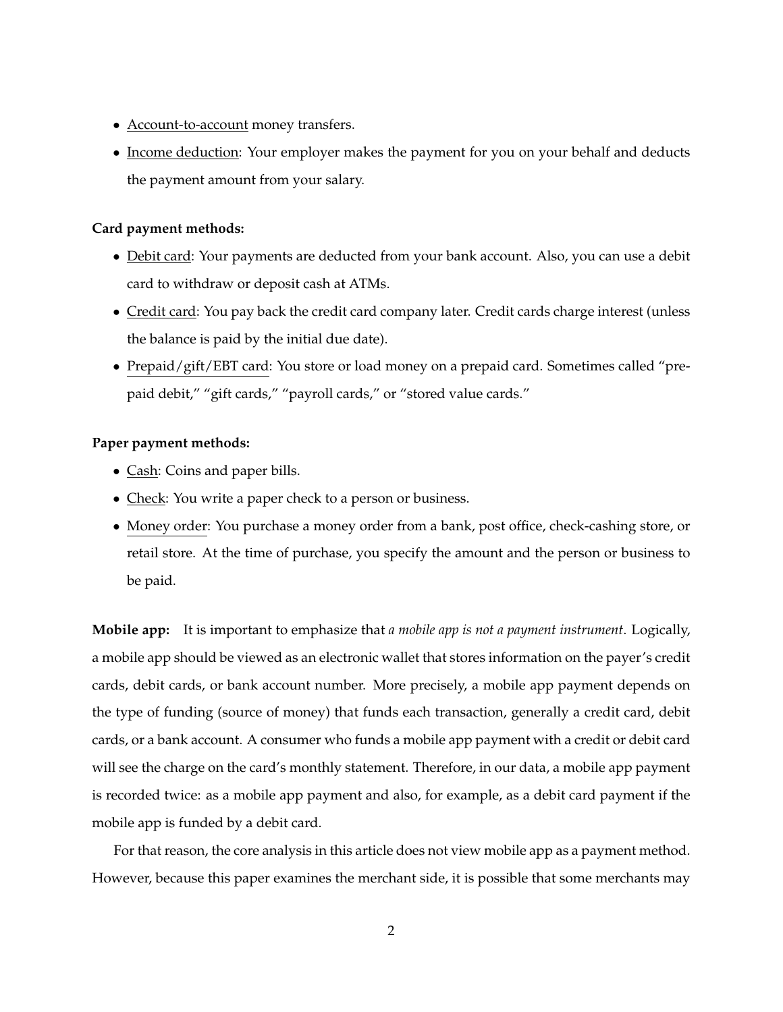- Account-to-account money transfers.
- Income deduction: Your employer makes the payment for you on your behalf and deducts the payment amount from your salary.

#### **Card payment methods:**

- Debit card: Your payments are deducted from your bank account. Also, you can use a debit card to withdraw or deposit cash at ATMs.
- Credit card: You pay back the credit card company later. Credit cards charge interest (unless the balance is paid by the initial due date).
- Prepaid/gift/EBT card: You store or load money on a prepaid card. Sometimes called "prepaid debit," "gift cards," "payroll cards," or "stored value cards."

#### **Paper payment methods:**

- Cash: Coins and paper bills.
- Check: You write a paper check to a person or business.
- Money order: You purchase a money order from a bank, post office, check-cashing store, or retail store. At the time of purchase, you specify the amount and the person or business to be paid.

**Mobile app:** It is important to emphasize that *a mobile app is not a payment instrument*. Logically, a mobile app should be viewed as an electronic wallet that stores information on the payer's credit cards, debit cards, or bank account number. More precisely, a mobile app payment depends on the type of funding (source of money) that funds each transaction, generally a credit card, debit cards, or a bank account. A consumer who funds a mobile app payment with a credit or debit card will see the charge on the card's monthly statement. Therefore, in our data, a mobile app payment is recorded twice: as a mobile app payment and also, for example, as a debit card payment if the mobile app is funded by a debit card.

For that reason, the core analysis in this article does not view mobile app as a payment method. However, because this paper examines the merchant side, it is possible that some merchants may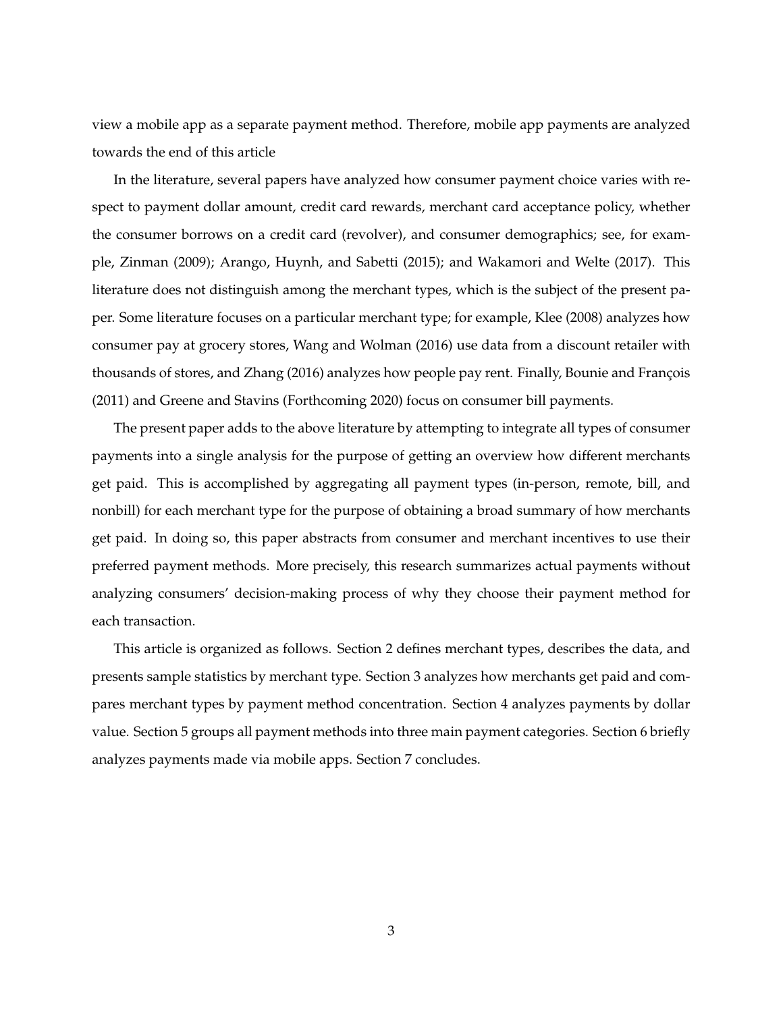view a mobile app as a separate payment method. Therefore, mobile app payments are analyzed towards the end of this article

In the literature, several papers have analyzed how consumer payment choice varies with respect to payment dollar amount, credit card rewards, merchant card acceptance policy, whether the consumer borrows on a credit card (revolver), and consumer demographics; see, for example, [Zinman](#page-16-0) [\(2009\)](#page-16-0); [Arango, Huynh, and Sabetti](#page-15-0) [\(2015\)](#page-15-0); and [Wakamori and Welte](#page-16-1) [\(2017\)](#page-16-1). This literature does not distinguish among the merchant types, which is the subject of the present paper. Some literature focuses on a particular merchant type; for example, [Klee](#page-16-2) [\(2008\)](#page-16-2) analyzes how consumer pay at grocery stores, [Wang and Wolman](#page-16-3) [\(2016\)](#page-16-3) use data from a discount retailer with thousands of stores, and [Zhang](#page-16-4) [\(2016\)](#page-16-4) analyzes how people pay rent. Finally, Bounie and François [\(2011\)](#page-15-1) and [Greene and Stavins](#page-15-2) [\(Forthcoming 2020\)](#page-15-2) focus on consumer bill payments.

The present paper adds to the above literature by attempting to integrate all types of consumer payments into a single analysis for the purpose of getting an overview how different merchants get paid. This is accomplished by aggregating all payment types (in-person, remote, bill, and nonbill) for each merchant type for the purpose of obtaining a broad summary of how merchants get paid. In doing so, this paper abstracts from consumer and merchant incentives to use their preferred payment methods. More precisely, this research summarizes actual payments without analyzing consumers' decision-making process of why they choose their payment method for each transaction.

This article is organized as follows. Section [2](#page-4-0) defines merchant types, describes the data, and presents sample statistics by merchant type. Section [3](#page-6-0) analyzes how merchants get paid and compares merchant types by payment method concentration. Section [4](#page-9-0) analyzes payments by dollar value. Section [5](#page-11-0) groups all payment methods into three main payment categories. Section [6](#page-13-0) briefly analyzes payments made via mobile apps. Section [7](#page-13-1) concludes.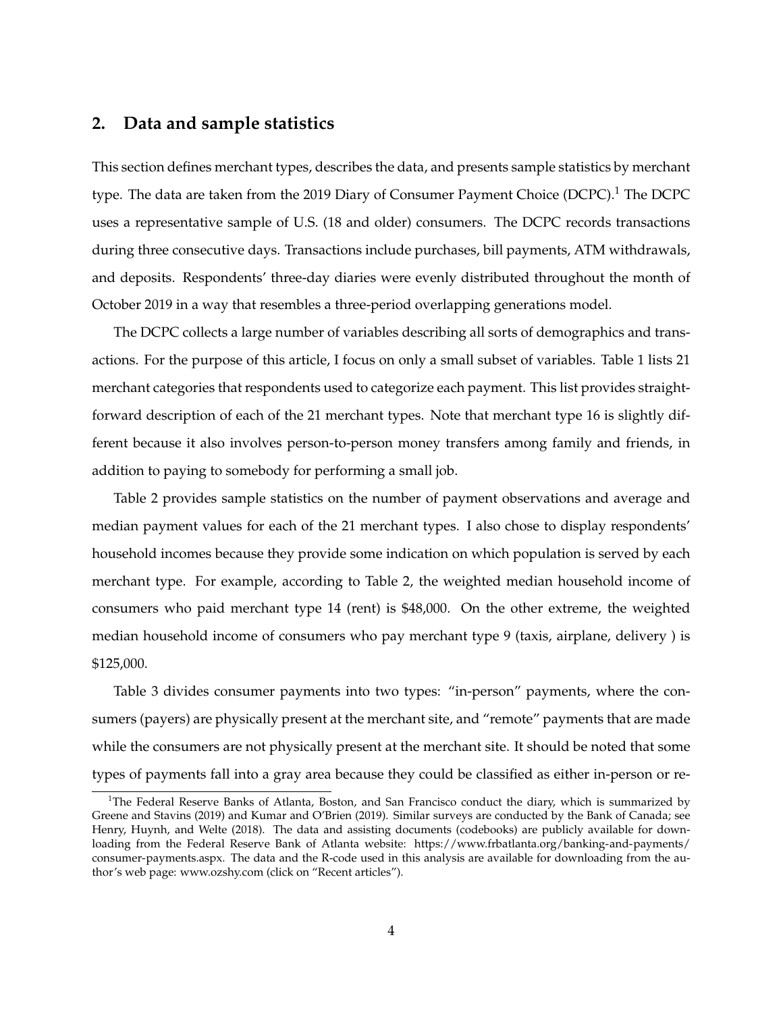# <span id="page-4-0"></span>**2. Data and sample statistics**

This section defines merchant types, describes the data, and presents sample statistics by merchant type. The data are taken from the 20[1](#page-4-1)9 Diary of Consumer Payment Choice  $(DCPC)^1$ . The DCPC uses a representative sample of U.S. (18 and older) consumers. The DCPC records transactions during three consecutive days. Transactions include purchases, bill payments, ATM withdrawals, and deposits. Respondents' three-day diaries were evenly distributed throughout the month of October 2019 in a way that resembles a three-period overlapping generations model.

The DCPC collects a large number of variables describing all sorts of demographics and transactions. For the purpose of this article, I focus on only a small subset of variables. Table [1](#page-17-0) lists 21 merchant categories that respondents used to categorize each payment. This list provides straightforward description of each of the 21 merchant types. Note that merchant type 16 is slightly different because it also involves person-to-person money transfers among family and friends, in addition to paying to somebody for performing a small job.

Table [2](#page-18-0) provides sample statistics on the number of payment observations and average and median payment values for each of the 21 merchant types. I also chose to display respondents' household incomes because they provide some indication on which population is served by each merchant type. For example, according to Table [2,](#page-18-0) the weighted median household income of consumers who paid merchant type 14 (rent) is \$48,000. On the other extreme, the weighted median household income of consumers who pay merchant type 9 (taxis, airplane, delivery ) is \$125,000.

Table [3](#page-19-0) divides consumer payments into two types: "in-person" payments, where the consumers (payers) are physically present at the merchant site, and "remote" payments that are made while the consumers are not physically present at the merchant site. It should be noted that some types of payments fall into a gray area because they could be classified as either in-person or re-

<span id="page-4-1"></span><sup>&</sup>lt;sup>1</sup>The Federal Reserve Banks of Atlanta, Boston, and San Francisco conduct the diary, which is summarized by [Greene and Stavins](#page-15-3) [\(2019\)](#page-15-3) and [Kumar and O'Brien](#page-16-5) [\(2019\)](#page-16-5). Similar surveys are conducted by the Bank of Canada; see [Henry, Huynh, and Welte](#page-16-6) [\(2018\)](#page-16-6). The data and assisting documents (codebooks) are publicly available for downloading from the Federal Reserve Bank of Atlanta website: [https://www.frbatlanta.org/banking-and-payments/](https://www.frbatlanta.org/banking-and-payments/consumer-payments.aspx) [consumer-payments.aspx.](https://www.frbatlanta.org/banking-and-payments/consumer-payments.aspx) The data and the R-code used in this analysis are available for downloading from the author's web page: <www.ozshy.com> (click on "Recent articles").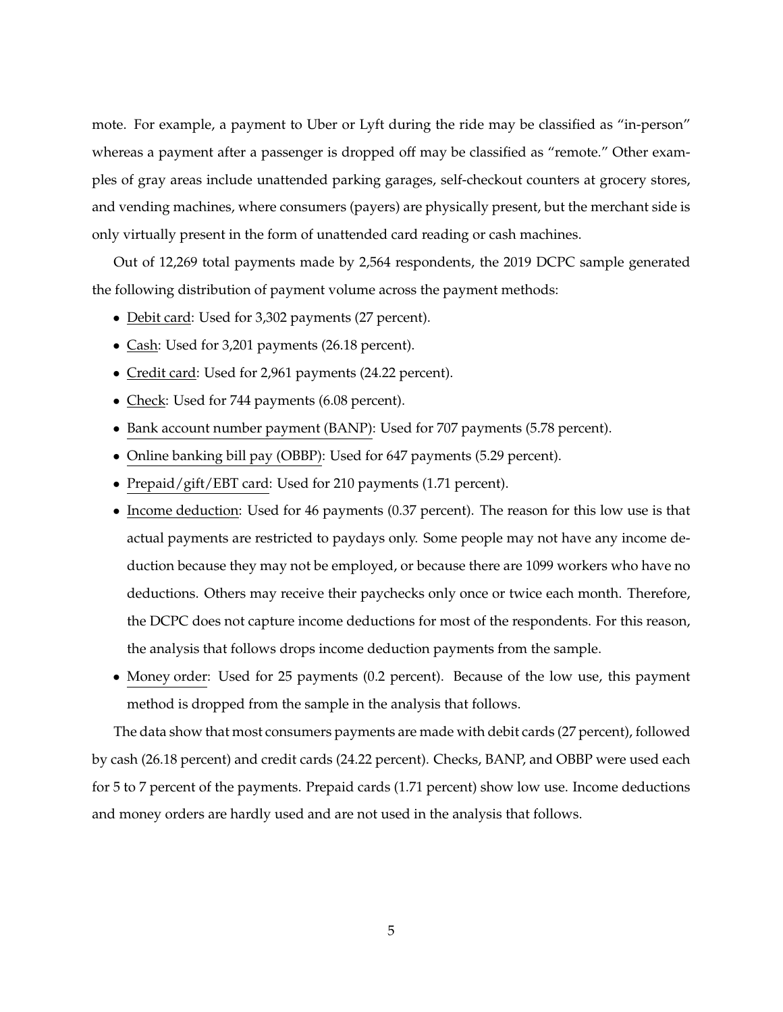mote. For example, a payment to Uber or Lyft during the ride may be classified as "in-person" whereas a payment after a passenger is dropped off may be classified as "remote." Other examples of gray areas include unattended parking garages, self-checkout counters at grocery stores, and vending machines, where consumers (payers) are physically present, but the merchant side is only virtually present in the form of unattended card reading or cash machines.

Out of 12,269 total payments made by 2,564 respondents, the 2019 DCPC sample generated the following distribution of payment volume across the payment methods:

- Debit card: Used for 3,302 payments (27 percent).
- Cash: Used for 3,201 payments (26.18 percent).
- Credit card: Used for 2,961 payments (24.22 percent).
- Check: Used for 744 payments (6.08 percent).
- Bank account number payment (BANP): Used for 707 payments (5.78 percent).
- Online banking bill pay (OBBP): Used for 647 payments (5.29 percent).
- Prepaid/gift/EBT card: Used for 210 payments (1.71 percent).
- Income deduction: Used for 46 payments (0.37 percent). The reason for this low use is that actual payments are restricted to paydays only. Some people may not have any income deduction because they may not be employed, or because there are 1099 workers who have no deductions. Others may receive their paychecks only once or twice each month. Therefore, the DCPC does not capture income deductions for most of the respondents. For this reason, the analysis that follows drops income deduction payments from the sample.
- Money order: Used for 25 payments (0.2 percent). Because of the low use, this payment method is dropped from the sample in the analysis that follows.

The data show that most consumers payments are made with debit cards (27 percent), followed by cash (26.18 percent) and credit cards (24.22 percent). Checks, BANP, and OBBP were used each for 5 to 7 percent of the payments. Prepaid cards (1.71 percent) show low use. Income deductions and money orders are hardly used and are not used in the analysis that follows.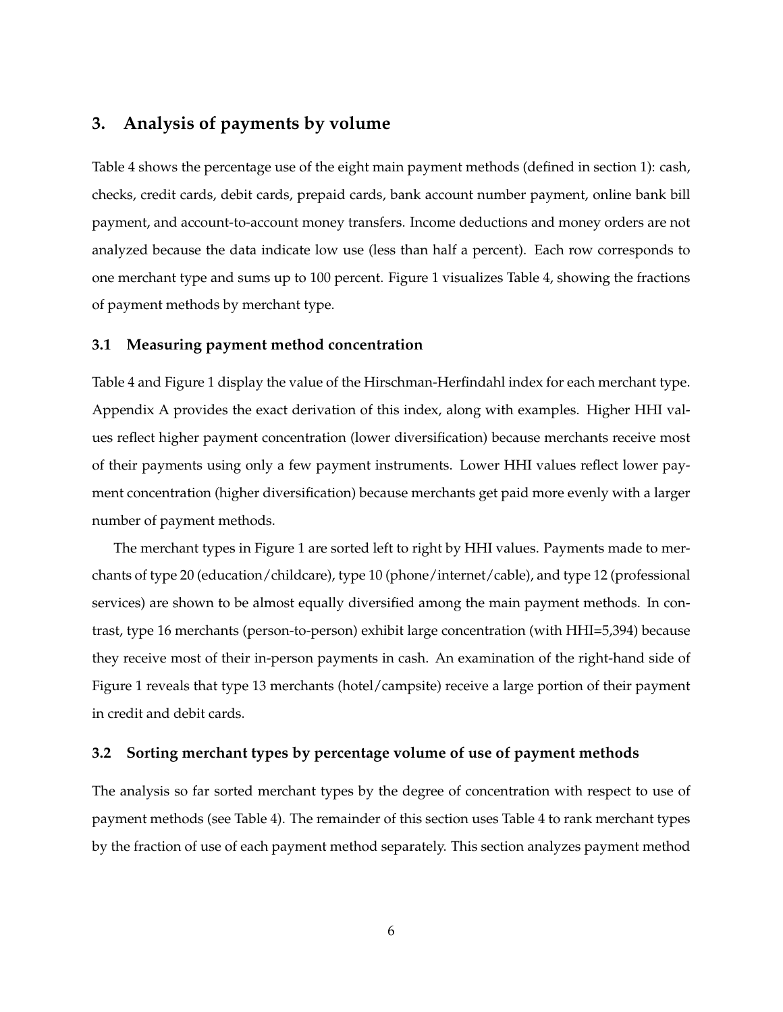# <span id="page-6-0"></span>**3. Analysis of payments by volume**

Table [4](#page-20-0) shows the percentage use of the eight main payment methods (defined in section [1\)](#page-1-0): cash, checks, credit cards, debit cards, prepaid cards, bank account number payment, online bank bill payment, and account-to-account money transfers. Income deductions and money orders are not analyzed because the data indicate low use (less than half a percent). Each row corresponds to one merchant type and sums up to 100 percent. Figure [1](#page-22-0) visualizes Table [4,](#page-20-0) showing the fractions of payment methods by merchant type.

#### **3.1 Measuring payment method concentration**

Table [4](#page-20-0) and Figure [1](#page-22-0) display the value of the Hirschman-Herfindahl index for each merchant type. Appendix [A](#page-14-0) provides the exact derivation of this index, along with examples. Higher HHI values reflect higher payment concentration (lower diversification) because merchants receive most of their payments using only a few payment instruments. Lower HHI values reflect lower payment concentration (higher diversification) because merchants get paid more evenly with a larger number of payment methods.

The merchant types in Figure [1](#page-22-0) are sorted left to right by HHI values. Payments made to merchants of type 20 (education/childcare), type 10 (phone/internet/cable), and type 12 (professional services) are shown to be almost equally diversified among the main payment methods. In contrast, type 16 merchants (person-to-person) exhibit large concentration (with HHI=5,394) because they receive most of their in-person payments in cash. An examination of the right-hand side of Figure [1](#page-22-0) reveals that type 13 merchants (hotel/campsite) receive a large portion of their payment in credit and debit cards.

#### **3.2 Sorting merchant types by percentage volume of use of payment methods**

The analysis so far sorted merchant types by the degree of concentration with respect to use of payment methods (see Table [4\)](#page-20-0). The remainder of this section uses Table [4](#page-20-0) to rank merchant types by the fraction of use of each payment method separately. This section analyzes payment method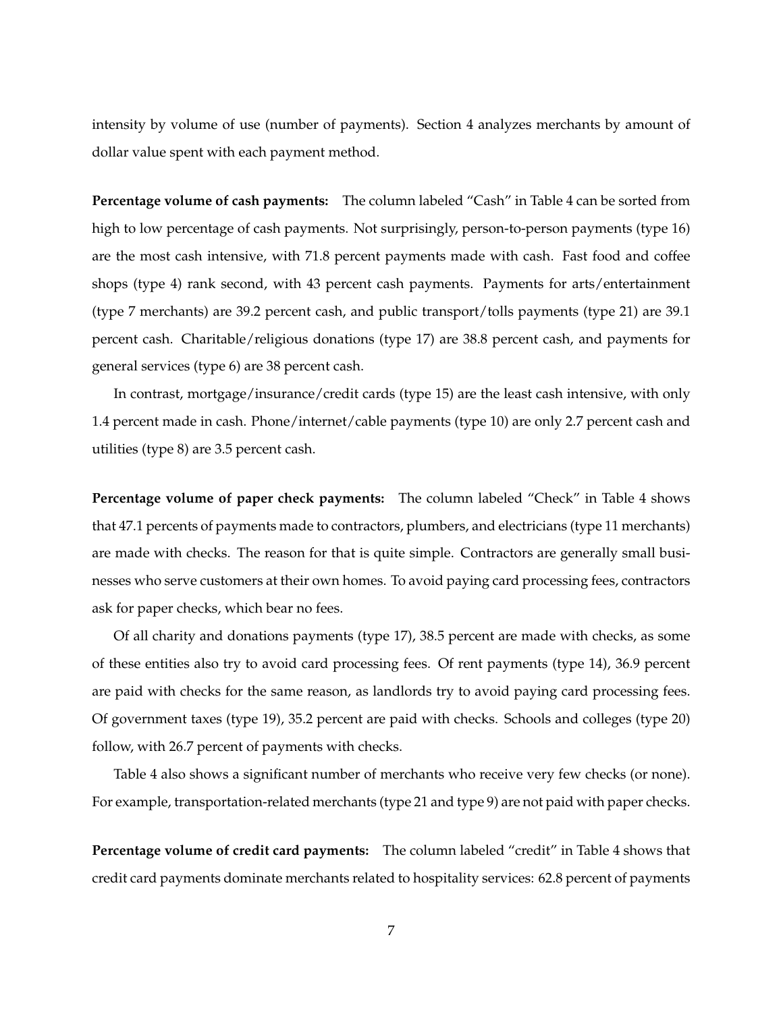intensity by volume of use (number of payments). Section [4](#page-9-0) analyzes merchants by amount of dollar value spent with each payment method.

**Percentage volume of cash payments:** The column labeled "Cash" in Table [4](#page-20-0) can be sorted from high to low percentage of cash payments. Not surprisingly, person-to-person payments (type 16) are the most cash intensive, with 71.8 percent payments made with cash. Fast food and coffee shops (type 4) rank second, with 43 percent cash payments. Payments for arts/entertainment (type 7 merchants) are 39.2 percent cash, and public transport/tolls payments (type 21) are 39.1 percent cash. Charitable/religious donations (type 17) are 38.8 percent cash, and payments for general services (type 6) are 38 percent cash.

In contrast, mortgage/insurance/credit cards (type 15) are the least cash intensive, with only 1.4 percent made in cash. Phone/internet/cable payments (type 10) are only 2.7 percent cash and utilities (type 8) are 3.5 percent cash.

**Percentage volume of paper check payments:** The column labeled "Check" in Table [4](#page-20-0) shows that 47.1 percents of payments made to contractors, plumbers, and electricians (type 11 merchants) are made with checks. The reason for that is quite simple. Contractors are generally small businesses who serve customers at their own homes. To avoid paying card processing fees, contractors ask for paper checks, which bear no fees.

Of all charity and donations payments (type 17), 38.5 percent are made with checks, as some of these entities also try to avoid card processing fees. Of rent payments (type 14), 36.9 percent are paid with checks for the same reason, as landlords try to avoid paying card processing fees. Of government taxes (type 19), 35.2 percent are paid with checks. Schools and colleges (type 20) follow, with 26.7 percent of payments with checks.

Table [4](#page-20-0) also shows a significant number of merchants who receive very few checks (or none). For example, transportation-related merchants (type 21 and type 9) are not paid with paper checks.

**Percentage volume of credit card payments:** The column labeled "credit" in Table [4](#page-20-0) shows that credit card payments dominate merchants related to hospitality services: 62.8 percent of payments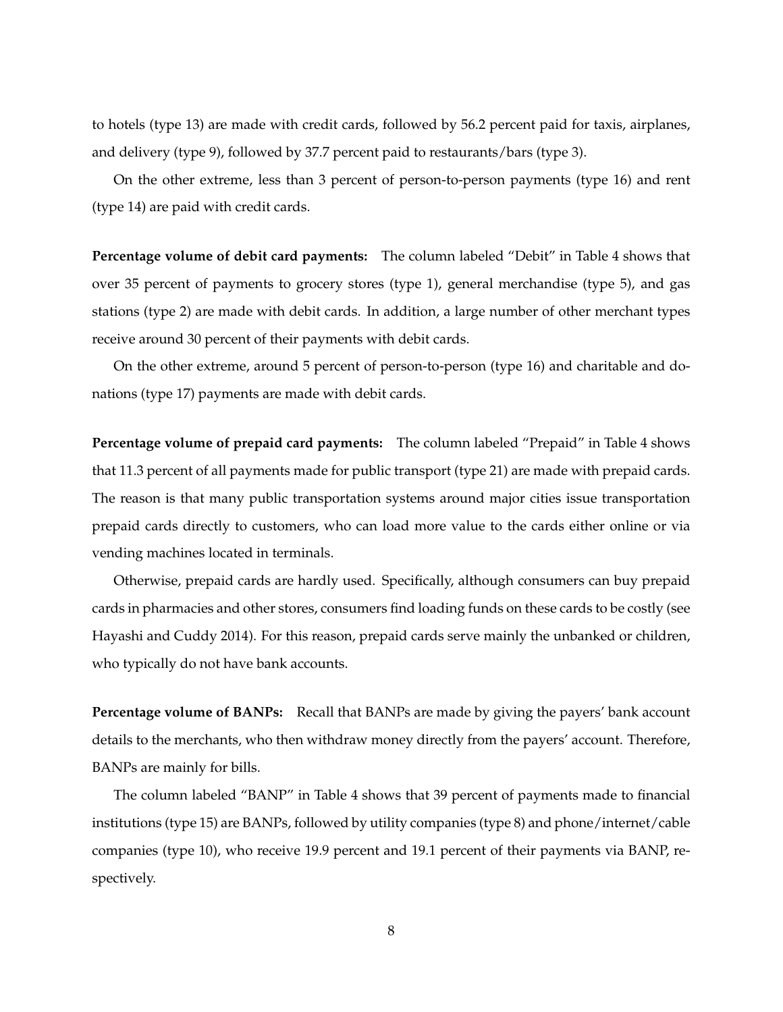to hotels (type 13) are made with credit cards, followed by 56.2 percent paid for taxis, airplanes, and delivery (type 9), followed by 37.7 percent paid to restaurants/bars (type 3).

On the other extreme, less than 3 percent of person-to-person payments (type 16) and rent (type 14) are paid with credit cards.

**Percentage volume of debit card payments:** The column labeled "Debit" in Table [4](#page-20-0) shows that over 35 percent of payments to grocery stores (type 1), general merchandise (type 5), and gas stations (type 2) are made with debit cards. In addition, a large number of other merchant types receive around 30 percent of their payments with debit cards.

On the other extreme, around 5 percent of person-to-person (type 16) and charitable and donations (type 17) payments are made with debit cards.

**Percentage volume of prepaid card payments:** The column labeled "Prepaid" in Table [4](#page-20-0) shows that 11.3 percent of all payments made for public transport (type 21) are made with prepaid cards. The reason is that many public transportation systems around major cities issue transportation prepaid cards directly to customers, who can load more value to the cards either online or via vending machines located in terminals.

Otherwise, prepaid cards are hardly used. Specifically, although consumers can buy prepaid cards in pharmacies and other stores, consumers find loading funds on these cards to be costly (see [Hayashi and Cuddy](#page-15-4) [2014\)](#page-15-4). For this reason, prepaid cards serve mainly the unbanked or children, who typically do not have bank accounts.

**Percentage volume of BANPs:** Recall that BANPs are made by giving the payers' bank account details to the merchants, who then withdraw money directly from the payers' account. Therefore, BANPs are mainly for bills.

The column labeled "BANP" in Table [4](#page-20-0) shows that 39 percent of payments made to financial institutions (type 15) are BANPs, followed by utility companies (type 8) and phone/internet/cable companies (type 10), who receive 19.9 percent and 19.1 percent of their payments via BANP, respectively.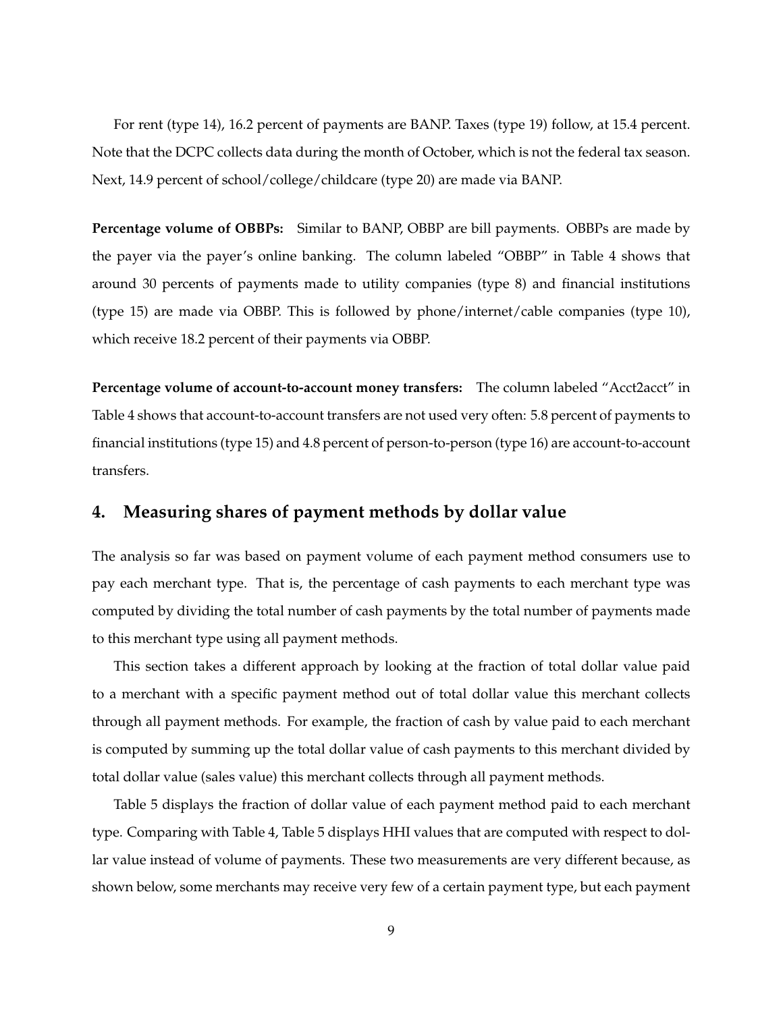For rent (type 14), 16.2 percent of payments are BANP. Taxes (type 19) follow, at 15.4 percent. Note that the DCPC collects data during the month of October, which is not the federal tax season. Next, 14.9 percent of school/college/childcare (type 20) are made via BANP.

**Percentage volume of OBBPs:** Similar to BANP, OBBP are bill payments. OBBPs are made by the payer via the payer's online banking. The column labeled "OBBP" in Table [4](#page-20-0) shows that around 30 percents of payments made to utility companies (type 8) and financial institutions (type 15) are made via OBBP. This is followed by phone/internet/cable companies (type 10), which receive 18.2 percent of their payments via OBBP.

**Percentage volume of account-to-account money transfers:** The column labeled "Acct2acct" in Table [4](#page-20-0) shows that account-to-account transfers are not used very often: 5.8 percent of payments to financial institutions (type 15) and 4.8 percent of person-to-person (type 16) are account-to-account transfers.

# <span id="page-9-0"></span>**4. Measuring shares of payment methods by dollar value**

The analysis so far was based on payment volume of each payment method consumers use to pay each merchant type. That is, the percentage of cash payments to each merchant type was computed by dividing the total number of cash payments by the total number of payments made to this merchant type using all payment methods.

This section takes a different approach by looking at the fraction of total dollar value paid to a merchant with a specific payment method out of total dollar value this merchant collects through all payment methods. For example, the fraction of cash by value paid to each merchant is computed by summing up the total dollar value of cash payments to this merchant divided by total dollar value (sales value) this merchant collects through all payment methods.

Table [5](#page-21-0) displays the fraction of dollar value of each payment method paid to each merchant type. Comparing with Table [4,](#page-20-0) Table [5](#page-21-0) displays HHI values that are computed with respect to dollar value instead of volume of payments. These two measurements are very different because, as shown below, some merchants may receive very few of a certain payment type, but each payment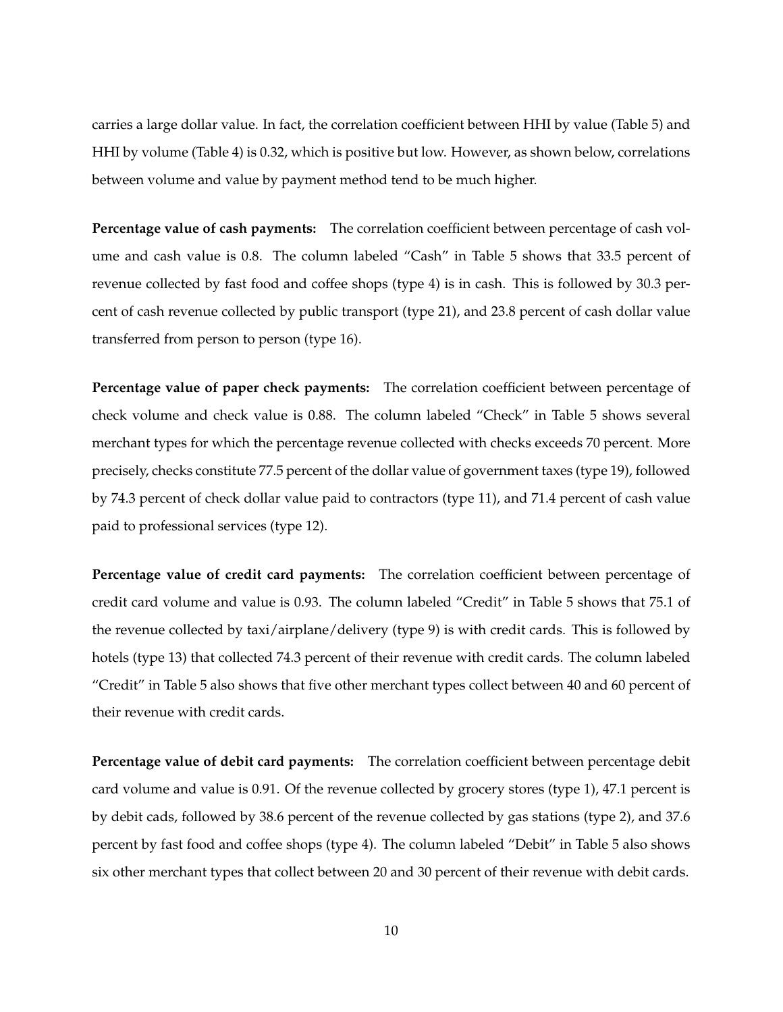carries a large dollar value. In fact, the correlation coefficient between HHI by value (Table [5\)](#page-21-0) and HHI by volume (Table [4\)](#page-20-0) is 0.32, which is positive but low. However, as shown below, correlations between volume and value by payment method tend to be much higher.

**Percentage value of cash payments:** The correlation coefficient between percentage of cash volume and cash value is 0.8. The column labeled "Cash" in Table [5](#page-21-0) shows that 33.5 percent of revenue collected by fast food and coffee shops (type 4) is in cash. This is followed by 30.3 percent of cash revenue collected by public transport (type 21), and 23.8 percent of cash dollar value transferred from person to person (type 16).

**Percentage value of paper check payments:** The correlation coefficient between percentage of check volume and check value is 0.88. The column labeled "Check" in Table [5](#page-21-0) shows several merchant types for which the percentage revenue collected with checks exceeds 70 percent. More precisely, checks constitute 77.5 percent of the dollar value of government taxes (type 19), followed by 74.3 percent of check dollar value paid to contractors (type 11), and 71.4 percent of cash value paid to professional services (type 12).

**Percentage value of credit card payments:** The correlation coefficient between percentage of credit card volume and value is 0.93. The column labeled "Credit" in Table [5](#page-21-0) shows that 75.1 of the revenue collected by taxi/airplane/delivery (type 9) is with credit cards. This is followed by hotels (type 13) that collected 74.3 percent of their revenue with credit cards. The column labeled "Credit" in Table [5](#page-21-0) also shows that five other merchant types collect between 40 and 60 percent of their revenue with credit cards.

**Percentage value of debit card payments:** The correlation coefficient between percentage debit card volume and value is 0.91. Of the revenue collected by grocery stores (type 1), 47.1 percent is by debit cads, followed by 38.6 percent of the revenue collected by gas stations (type 2), and 37.6 percent by fast food and coffee shops (type 4). The column labeled "Debit" in Table [5](#page-21-0) also shows six other merchant types that collect between 20 and 30 percent of their revenue with debit cards.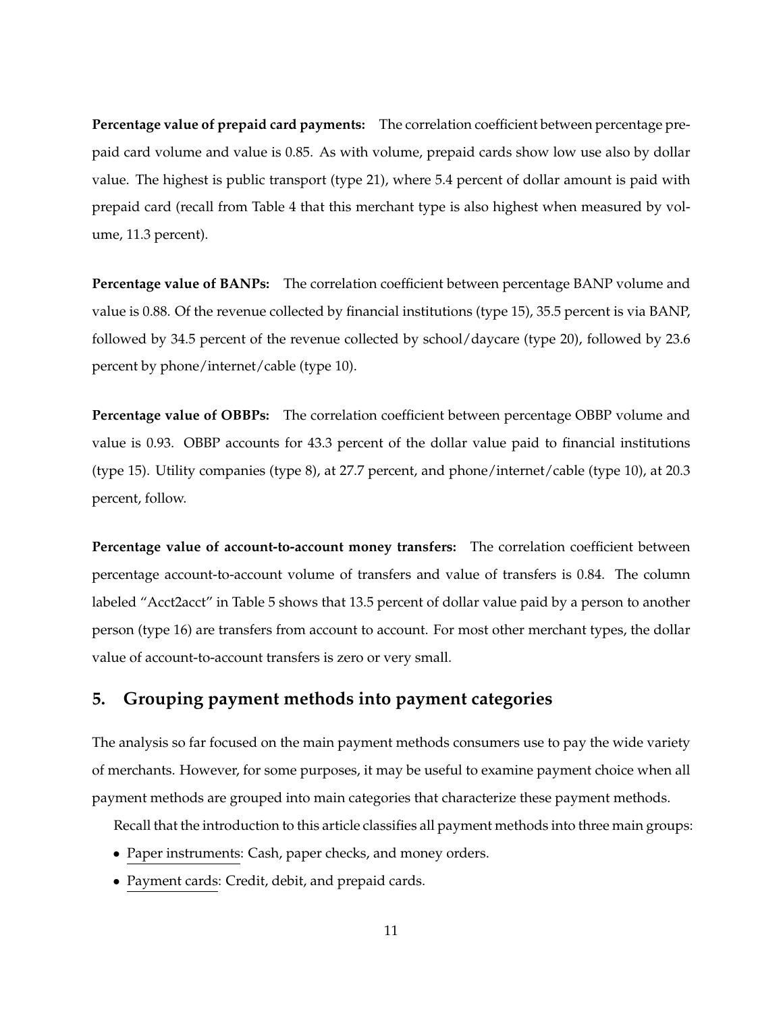**Percentage value of prepaid card payments:** The correlation coefficient between percentage prepaid card volume and value is 0.85. As with volume, prepaid cards show low use also by dollar value. The highest is public transport (type 21), where 5.4 percent of dollar amount is paid with prepaid card (recall from Table [4](#page-20-0) that this merchant type is also highest when measured by volume, 11.3 percent).

**Percentage value of BANPs:** The correlation coefficient between percentage BANP volume and value is 0.88. Of the revenue collected by financial institutions (type 15), 35.5 percent is via BANP, followed by 34.5 percent of the revenue collected by school/daycare (type 20), followed by 23.6 percent by phone/internet/cable (type 10).

**Percentage value of OBBPs:** The correlation coefficient between percentage OBBP volume and value is 0.93. OBBP accounts for 43.3 percent of the dollar value paid to financial institutions (type 15). Utility companies (type 8), at 27.7 percent, and phone/internet/cable (type 10), at 20.3 percent, follow.

**Percentage value of account-to-account money transfers:** The correlation coefficient between percentage account-to-account volume of transfers and value of transfers is 0.84. The column labeled "Acct2acct" in Table [5](#page-21-0) shows that 13.5 percent of dollar value paid by a person to another person (type 16) are transfers from account to account. For most other merchant types, the dollar value of account-to-account transfers is zero or very small.

# <span id="page-11-0"></span>**5. Grouping payment methods into payment categories**

The analysis so far focused on the main payment methods consumers use to pay the wide variety of merchants. However, for some purposes, it may be useful to examine payment choice when all payment methods are grouped into main categories that characterize these payment methods.

Recall that the introduction to this article classifies all payment methods into three main groups:

- Paper instruments: Cash, paper checks, and money orders.
- Payment cards: Credit, debit, and prepaid cards.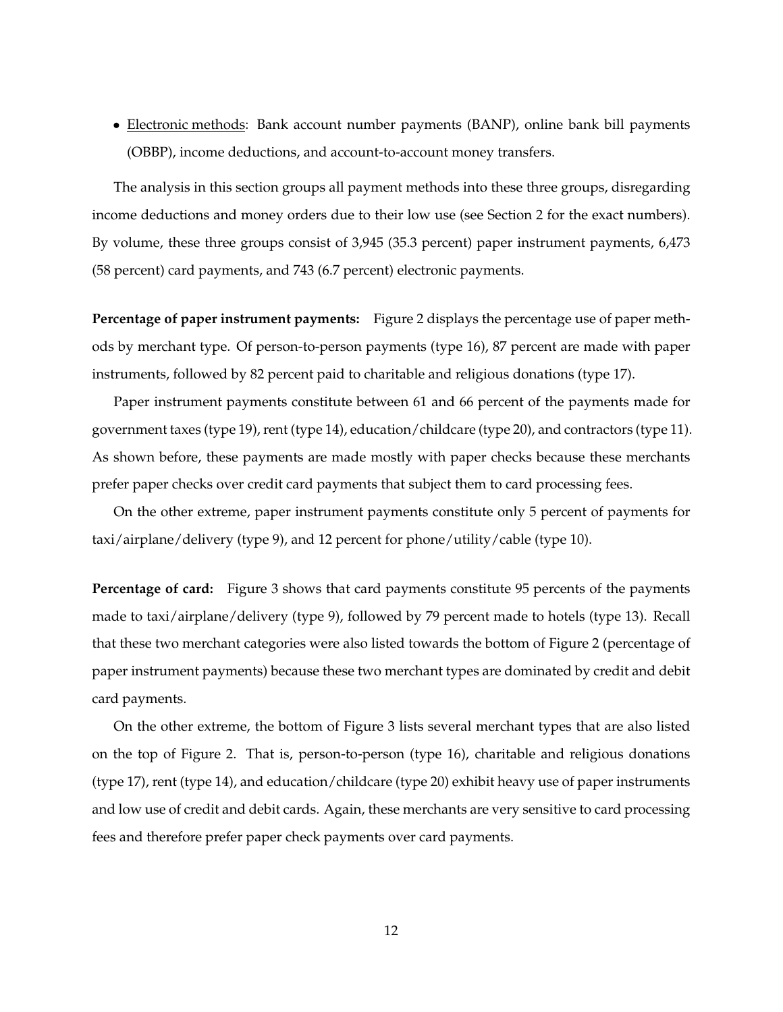• Electronic methods: Bank account number payments (BANP), online bank bill payments (OBBP), income deductions, and account-to-account money transfers.

The analysis in this section groups all payment methods into these three groups, disregarding income deductions and money orders due to their low use (see Section [2](#page-4-0) for the exact numbers). By volume, these three groups consist of 3,945 (35.3 percent) paper instrument payments, 6,473 (58 percent) card payments, and 743 (6.7 percent) electronic payments.

**Percentage of paper instrument payments:** Figure [2](#page-23-0) displays the percentage use of paper methods by merchant type. Of person-to-person payments (type 16), 87 percent are made with paper instruments, followed by 82 percent paid to charitable and religious donations (type 17).

Paper instrument payments constitute between 61 and 66 percent of the payments made for government taxes (type 19), rent (type 14), education/childcare (type 20), and contractors (type 11). As shown before, these payments are made mostly with paper checks because these merchants prefer paper checks over credit card payments that subject them to card processing fees.

On the other extreme, paper instrument payments constitute only 5 percent of payments for taxi/airplane/delivery (type 9), and 12 percent for phone/utility/cable (type 10).

**Percentage of card:** Figure [3](#page-24-0) shows that card payments constitute 95 percents of the payments made to taxi/airplane/delivery (type 9), followed by 79 percent made to hotels (type 13). Recall that these two merchant categories were also listed towards the bottom of Figure [2](#page-23-0) (percentage of paper instrument payments) because these two merchant types are dominated by credit and debit card payments.

On the other extreme, the bottom of Figure [3](#page-24-0) lists several merchant types that are also listed on the top of Figure [2.](#page-23-0) That is, person-to-person (type 16), charitable and religious donations (type 17), rent (type 14), and education/childcare (type 20) exhibit heavy use of paper instruments and low use of credit and debit cards. Again, these merchants are very sensitive to card processing fees and therefore prefer paper check payments over card payments.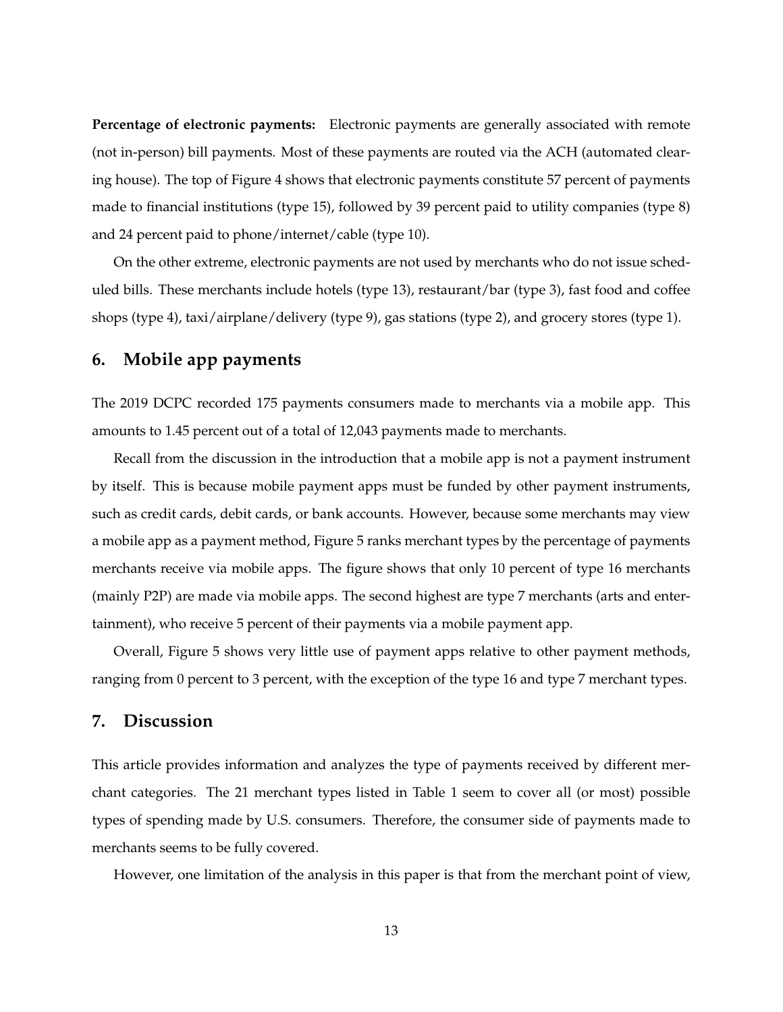**Percentage of electronic payments:** Electronic payments are generally associated with remote (not in-person) bill payments. Most of these payments are routed via the ACH (automated clearing house). The top of Figure [4](#page-25-0) shows that electronic payments constitute 57 percent of payments made to financial institutions (type 15), followed by 39 percent paid to utility companies (type 8) and 24 percent paid to phone/internet/cable (type 10).

On the other extreme, electronic payments are not used by merchants who do not issue scheduled bills. These merchants include hotels (type 13), restaurant/bar (type 3), fast food and coffee shops (type 4), taxi/airplane/delivery (type 9), gas stations (type 2), and grocery stores (type 1).

# <span id="page-13-0"></span>**6. Mobile app payments**

The 2019 DCPC recorded 175 payments consumers made to merchants via a mobile app. This amounts to 1.45 percent out of a total of 12,043 payments made to merchants.

Recall from the discussion in the introduction that a mobile app is not a payment instrument by itself. This is because mobile payment apps must be funded by other payment instruments, such as credit cards, debit cards, or bank accounts. However, because some merchants may view a mobile app as a payment method, Figure [5](#page-26-0) ranks merchant types by the percentage of payments merchants receive via mobile apps. The figure shows that only 10 percent of type 16 merchants (mainly P2P) are made via mobile apps. The second highest are type 7 merchants (arts and entertainment), who receive 5 percent of their payments via a mobile payment app.

Overall, Figure [5](#page-26-0) shows very little use of payment apps relative to other payment methods, ranging from 0 percent to 3 percent, with the exception of the type 16 and type 7 merchant types.

#### <span id="page-13-1"></span>**7. Discussion**

This article provides information and analyzes the type of payments received by different merchant categories. The 21 merchant types listed in Table [1](#page-17-0) seem to cover all (or most) possible types of spending made by U.S. consumers. Therefore, the consumer side of payments made to merchants seems to be fully covered.

However, one limitation of the analysis in this paper is that from the merchant point of view,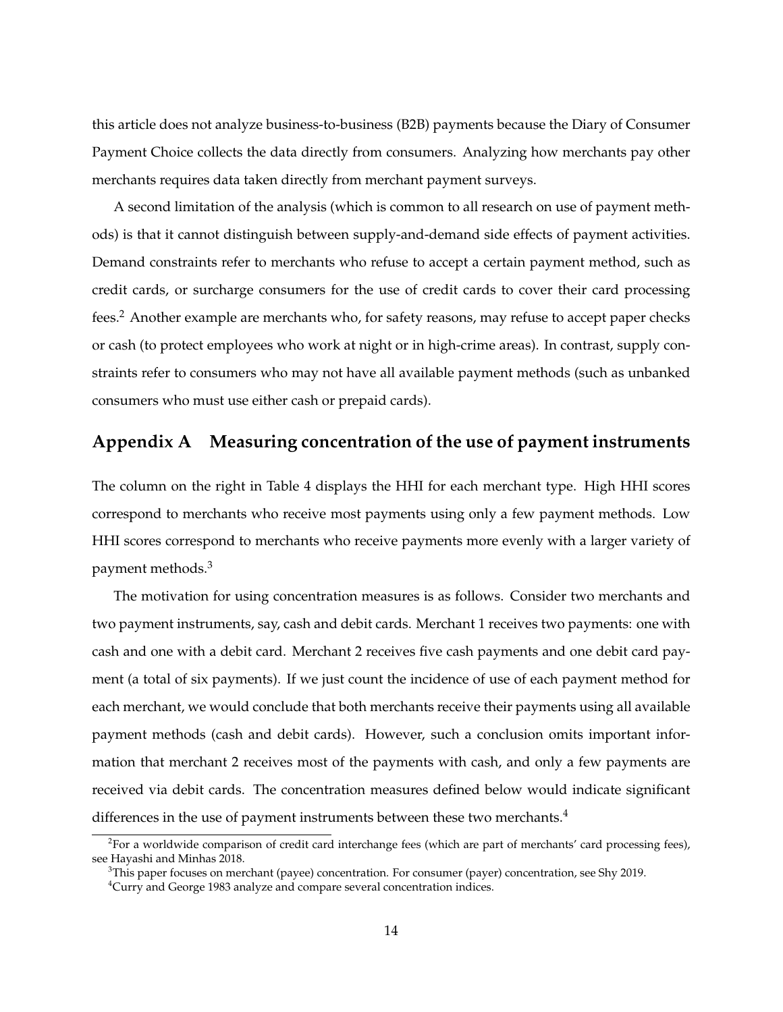this article does not analyze business-to-business (B2B) payments because the Diary of Consumer Payment Choice collects the data directly from consumers. Analyzing how merchants pay other merchants requires data taken directly from merchant payment surveys.

A second limitation of the analysis (which is common to all research on use of payment methods) is that it cannot distinguish between supply-and-demand side effects of payment activities. Demand constraints refer to merchants who refuse to accept a certain payment method, such as credit cards, or surcharge consumers for the use of credit cards to cover their card processing fees.[2](#page-14-1) Another example are merchants who, for safety reasons, may refuse to accept paper checks or cash (to protect employees who work at night or in high-crime areas). In contrast, supply constraints refer to consumers who may not have all available payment methods (such as unbanked consumers who must use either cash or prepaid cards).

## <span id="page-14-0"></span>**Appendix A Measuring concentration of the use of payment instruments**

The column on the right in Table [4](#page-20-0) displays the HHI for each merchant type. High HHI scores correspond to merchants who receive most payments using only a few payment methods. Low HHI scores correspond to merchants who receive payments more evenly with a larger variety of payment methods.[3](#page-14-2)

The motivation for using concentration measures is as follows. Consider two merchants and two payment instruments, say, cash and debit cards. Merchant 1 receives two payments: one with cash and one with a debit card. Merchant 2 receives five cash payments and one debit card payment (a total of six payments). If we just count the incidence of use of each payment method for each merchant, we would conclude that both merchants receive their payments using all available payment methods (cash and debit cards). However, such a conclusion omits important information that merchant 2 receives most of the payments with cash, and only a few payments are received via debit cards. The concentration measures defined below would indicate significant differences in the use of payment instruments between these two merchants.<sup>[4](#page-14-3)</sup>

<span id="page-14-1"></span><sup>&</sup>lt;sup>2</sup>For a worldwide comparison of credit card interchange fees (which are part of merchants' card processing fees), see [Hayashi and Minhas](#page-15-5) [2018.](#page-15-5)

<span id="page-14-2"></span> $3$ This paper focuses on merchant (payee) concentration. For consumer (payer) concentration, see [Shy](#page-16-7) [2019.](#page-16-7)

<span id="page-14-3"></span><sup>&</sup>lt;sup>4</sup>[Curry and George](#page-15-6) [1983](#page-15-6) analyze and compare several concentration indices.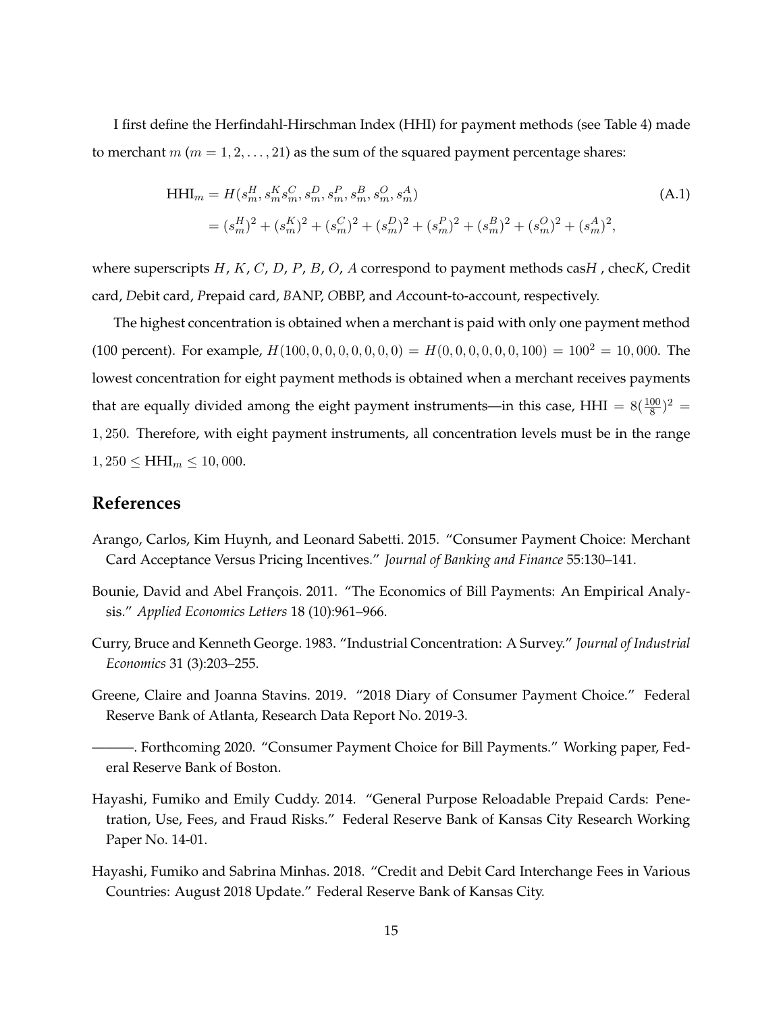I first define the Herfindahl-Hirschman Index (HHI) for payment methods (see Table [4\)](#page-20-0) made to merchant  $m$  ( $m = 1, 2, \ldots, 21$ ) as the sum of the squared payment percentage shares:

$$
\begin{aligned} \text{HHI}_{m} &= H(s_m^H, s_m^K s_m^C, s_m^D, s_m^P, s_m^B, s_m^O, s_m^A) \\ &= (s_m^H)^2 + (s_m^K)^2 + (s_m^C)^2 + (s_m^D)^2 + (s_m^P)^2 + (s_m^B)^2 + (s_m^O)^2 + (s_m^A)^2, \end{aligned} \tag{A.1}
$$

where superscripts H, K, C, D, P, B, O, A correspond to payment methods cas*H* , chec*K*, *C*redit card, *D*ebit card, *P*repaid card, *B*ANP, *O*BBP, and *A*ccount-to-account, respectively.

The highest concentration is obtained when a merchant is paid with only one payment method (100 percent). For example,  $H(100, 0, 0, 0, 0, 0, 0, 0) = H(0, 0, 0, 0, 0, 0, 100) = 100^2 = 10,000$ . The lowest concentration for eight payment methods is obtained when a merchant receives payments that are equally divided among the eight payment instruments—in this case, HHI =  $8(\frac{100}{8})^2$  = 1, 250. Therefore, with eight payment instruments, all concentration levels must be in the range  $1,250 \leq \text{HHI}_m \leq 10,000.$ 

#### **References**

- <span id="page-15-0"></span>Arango, Carlos, Kim Huynh, and Leonard Sabetti. 2015. "Consumer Payment Choice: Merchant Card Acceptance Versus Pricing Incentives." *Journal of Banking and Finance* 55:130–141.
- <span id="page-15-1"></span>Bounie, David and Abel François. 2011. "The Economics of Bill Payments: An Empirical Analysis." *Applied Economics Letters* 18 (10):961–966.
- <span id="page-15-6"></span>Curry, Bruce and Kenneth George. 1983. "Industrial Concentration: A Survey." *Journal of Industrial Economics* 31 (3):203–255.
- <span id="page-15-3"></span>Greene, Claire and Joanna Stavins. 2019. "2018 Diary of Consumer Payment Choice." Federal Reserve Bank of Atlanta, Research Data Report No. 2019-3.
- <span id="page-15-2"></span>———. Forthcoming 2020. "Consumer Payment Choice for Bill Payments." Working paper, Federal Reserve Bank of Boston.
- <span id="page-15-4"></span>Hayashi, Fumiko and Emily Cuddy. 2014. "General Purpose Reloadable Prepaid Cards: Penetration, Use, Fees, and Fraud Risks." Federal Reserve Bank of Kansas City Research Working Paper No. 14-01.
- <span id="page-15-5"></span>Hayashi, Fumiko and Sabrina Minhas. 2018. "Credit and Debit Card Interchange Fees in Various Countries: August 2018 Update." Federal Reserve Bank of Kansas City.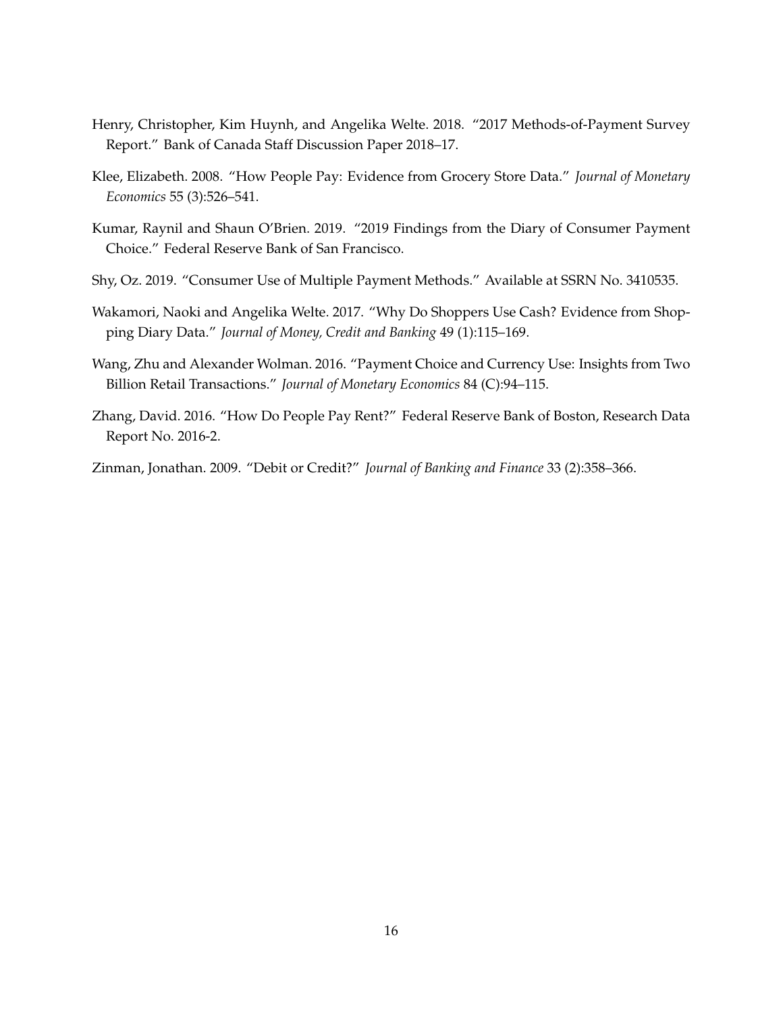- <span id="page-16-6"></span>Henry, Christopher, Kim Huynh, and Angelika Welte. 2018. "2017 Methods-of-Payment Survey Report." Bank of Canada Staff Discussion Paper 2018–17.
- <span id="page-16-2"></span>Klee, Elizabeth. 2008. "How People Pay: Evidence from Grocery Store Data." *Journal of Monetary Economics* 55 (3):526–541.
- <span id="page-16-5"></span>Kumar, Raynil and Shaun O'Brien. 2019. "2019 Findings from the Diary of Consumer Payment Choice." Federal Reserve Bank of San Francisco.
- <span id="page-16-7"></span>Shy, Oz. 2019. "Consumer Use of Multiple Payment Methods." Available at SSRN No. 3410535.
- <span id="page-16-1"></span>Wakamori, Naoki and Angelika Welte. 2017. "Why Do Shoppers Use Cash? Evidence from Shopping Diary Data." *Journal of Money, Credit and Banking* 49 (1):115–169.
- <span id="page-16-3"></span>Wang, Zhu and Alexander Wolman. 2016. "Payment Choice and Currency Use: Insights from Two Billion Retail Transactions." *Journal of Monetary Economics* 84 (C):94–115.
- <span id="page-16-4"></span>Zhang, David. 2016. "How Do People Pay Rent?" Federal Reserve Bank of Boston, Research Data Report No. 2016-2.

<span id="page-16-0"></span>Zinman, Jonathan. 2009. "Debit or Credit?" *Journal of Banking and Finance* 33 (2):358–366.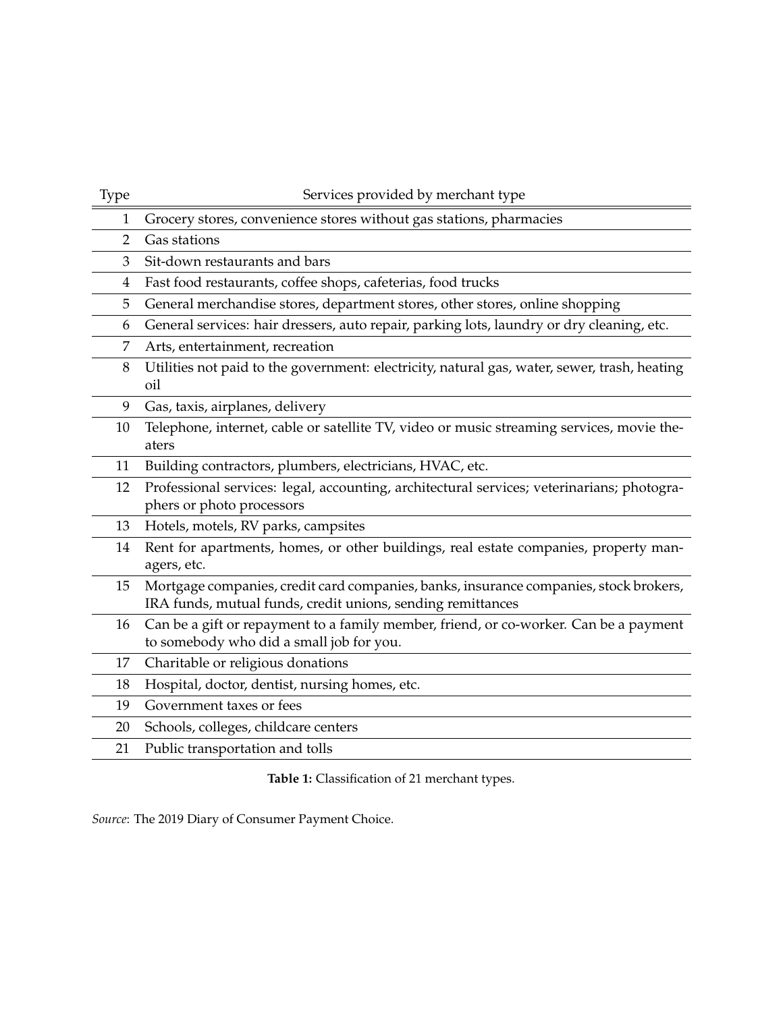<span id="page-17-0"></span>

| Type           | Services provided by merchant type                                                                                                                   |
|----------------|------------------------------------------------------------------------------------------------------------------------------------------------------|
| 1              | Grocery stores, convenience stores without gas stations, pharmacies                                                                                  |
| $\overline{2}$ | Gas stations                                                                                                                                         |
| 3              | Sit-down restaurants and bars                                                                                                                        |
| $\overline{4}$ | Fast food restaurants, coffee shops, cafeterias, food trucks                                                                                         |
| 5              | General merchandise stores, department stores, other stores, online shopping                                                                         |
| 6              | General services: hair dressers, auto repair, parking lots, laundry or dry cleaning, etc.                                                            |
| 7              | Arts, entertainment, recreation                                                                                                                      |
| 8              | Utilities not paid to the government: electricity, natural gas, water, sewer, trash, heating<br>oil                                                  |
| 9              | Gas, taxis, airplanes, delivery                                                                                                                      |
| 10             | Telephone, internet, cable or satellite TV, video or music streaming services, movie the-<br>aters                                                   |
| 11             | Building contractors, plumbers, electricians, HVAC, etc.                                                                                             |
| 12             | Professional services: legal, accounting, architectural services; veterinarians; photogra-<br>phers or photo processors                              |
| 13             | Hotels, motels, RV parks, campsites                                                                                                                  |
| 14             | Rent for apartments, homes, or other buildings, real estate companies, property man-<br>agers, etc.                                                  |
| 15             | Mortgage companies, credit card companies, banks, insurance companies, stock brokers,<br>IRA funds, mutual funds, credit unions, sending remittances |
| 16             | Can be a gift or repayment to a family member, friend, or co-worker. Can be a payment<br>to somebody who did a small job for you.                    |
| 17             | Charitable or religious donations                                                                                                                    |
| 18             | Hospital, doctor, dentist, nursing homes, etc.                                                                                                       |
| 19             | Government taxes or fees                                                                                                                             |
| 20             | Schools, colleges, childcare centers                                                                                                                 |
| 21             | Public transportation and tolls                                                                                                                      |
|                |                                                                                                                                                      |

**Table 1:** Classification of 21 merchant types.

*Source*: The 2019 Diary of Consumer Payment Choice.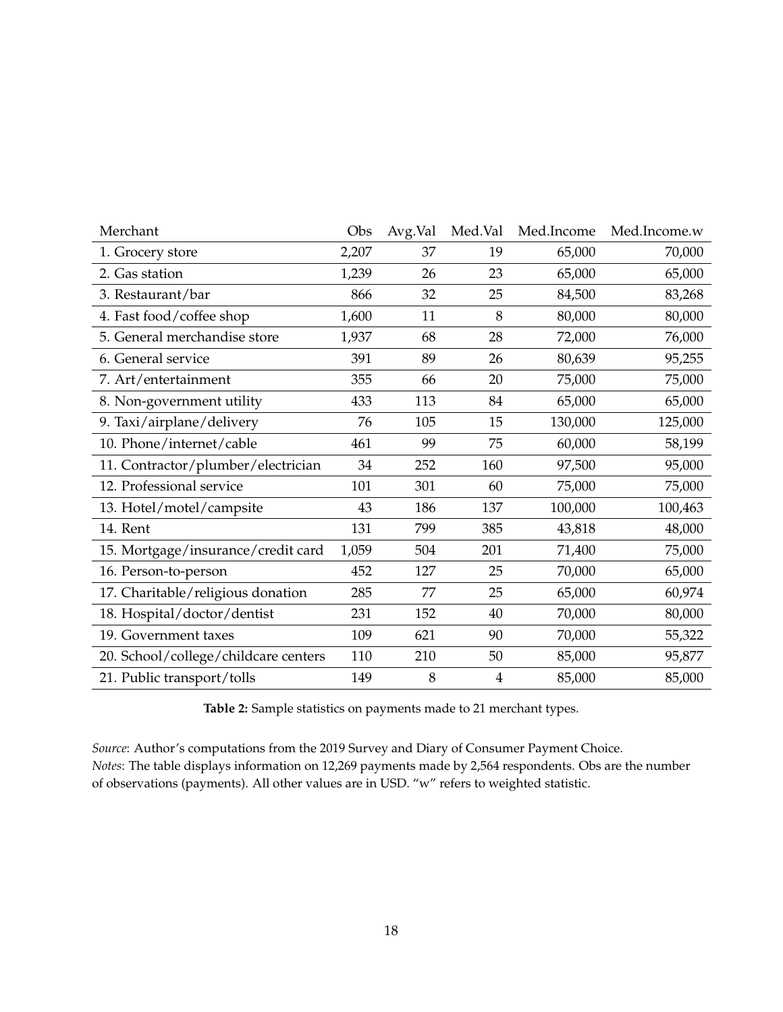<span id="page-18-0"></span>

| Merchant                             | Obs   | Avg.Val | Med.Val        | Med.Income | Med.Income.w |
|--------------------------------------|-------|---------|----------------|------------|--------------|
| 1. Grocery store                     | 2,207 | 37      | 19             | 65,000     | 70,000       |
| 2. Gas station                       | 1,239 | 26      | 23             | 65,000     | 65,000       |
| 3. Restaurant/bar                    | 866   | 32      | 25             | 84,500     | 83,268       |
| 4. Fast food/coffee shop             | 1,600 | 11      | 8              | 80,000     | 80,000       |
| 5. General merchandise store         | 1,937 | 68      | 28             | 72,000     | 76,000       |
| 6. General service                   | 391   | 89      | 26             | 80,639     | 95,255       |
| 7. Art/entertainment                 | 355   | 66      | 20             | 75,000     | 75,000       |
| 8. Non-government utility            | 433   | 113     | 84             | 65,000     | 65,000       |
| 9. Taxi/airplane/delivery            | 76    | 105     | 15             | 130,000    | 125,000      |
| 10. Phone/internet/cable             | 461   | 99      | 75             | 60,000     | 58,199       |
| 11. Contractor/plumber/electrician   | 34    | 252     | 160            | 97,500     | 95,000       |
| 12. Professional service             | 101   | 301     | 60             | 75,000     | 75,000       |
| 13. Hotel/motel/campsite             | 43    | 186     | 137            | 100,000    | 100,463      |
| 14. Rent                             | 131   | 799     | 385            | 43,818     | 48,000       |
| 15. Mortgage/insurance/credit card   | 1,059 | 504     | 201            | 71,400     | 75,000       |
| 16. Person-to-person                 | 452   | 127     | 25             | 70,000     | 65,000       |
| 17. Charitable/religious donation    | 285   | 77      | 25             | 65,000     | 60,974       |
| 18. Hospital/doctor/dentist          | 231   | 152     | 40             | 70,000     | 80,000       |
| 19. Government taxes                 | 109   | 621     | 90             | 70,000     | 55,322       |
| 20. School/college/childcare centers | 110   | 210     | 50             | 85,000     | 95,877       |
| 21. Public transport/tolls           | 149   | 8       | $\overline{4}$ | 85,000     | 85,000       |

**Table 2:** Sample statistics on payments made to 21 merchant types.

*Source*: Author's computations from the 2019 Survey and Diary of Consumer Payment Choice. *Notes*: The table displays information on 12,269 payments made by 2,564 respondents. Obs are the number of observations (payments). All other values are in USD. "w" refers to weighted statistic.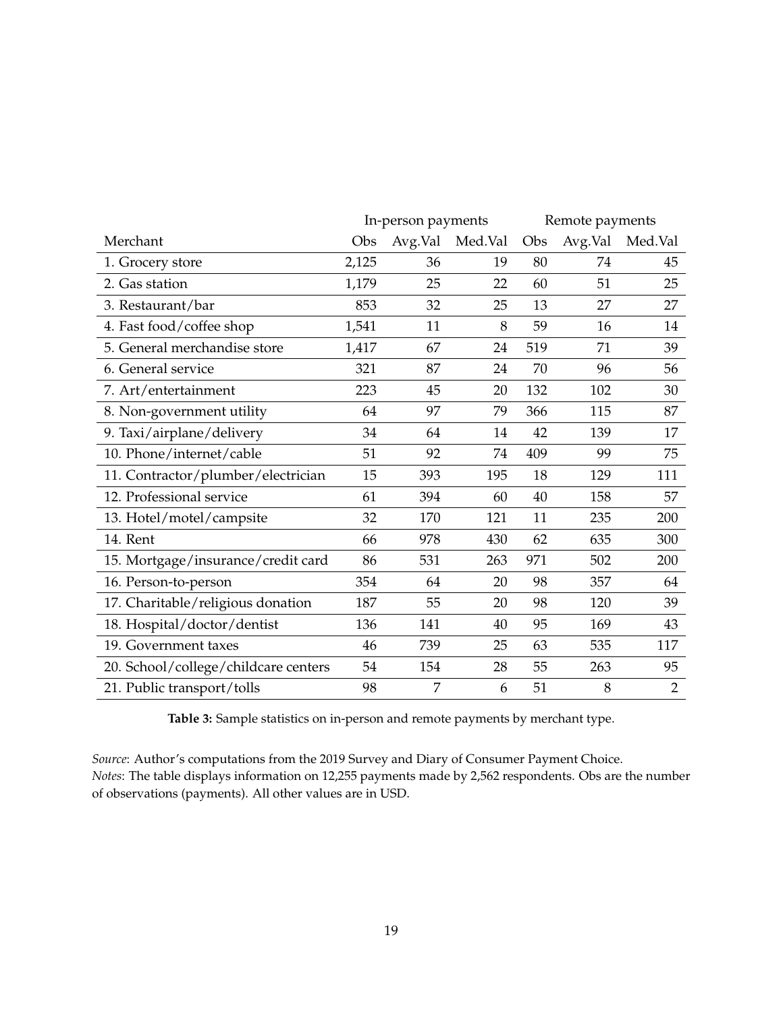<span id="page-19-0"></span>

|                                      |       | In-person payments |         |     | Remote payments |                |
|--------------------------------------|-------|--------------------|---------|-----|-----------------|----------------|
| Merchant                             | Obs   | Avg.Val            | Med.Val | Obs | Avg.Val         | Med.Val        |
| 1. Grocery store                     | 2,125 | 36                 | 19      | 80  | 74              | 45             |
| 2. Gas station                       | 1,179 | 25                 | 22      | 60  | 51              | 25             |
| 3. Restaurant/bar                    | 853   | 32                 | 25      | 13  | 27              | 27             |
| 4. Fast food/coffee shop             | 1,541 | 11                 | 8       | 59  | 16              | 14             |
| 5. General merchandise store         | 1,417 | 67                 | 24      | 519 | 71              | 39             |
| 6. General service                   | 321   | 87                 | 24      | 70  | 96              | 56             |
| 7. Art/entertainment                 | 223   | 45                 | 20      | 132 | 102             | 30             |
| 8. Non-government utility            | 64    | 97                 | 79      | 366 | 115             | 87             |
| 9. Taxi/airplane/delivery            | 34    | 64                 | 14      | 42  | 139             | 17             |
| 10. Phone/internet/cable             | 51    | 92                 | 74      | 409 | 99              | 75             |
| 11. Contractor/plumber/electrician   | 15    | 393                | 195     | 18  | 129             | 111            |
| 12. Professional service             | 61    | 394                | 60      | 40  | 158             | 57             |
| 13. Hotel/motel/campsite             | 32    | 170                | 121     | 11  | 235             | 200            |
| 14. Rent                             | 66    | 978                | 430     | 62  | 635             | 300            |
| 15. Mortgage/insurance/credit card   | 86    | 531                | 263     | 971 | 502             | 200            |
| 16. Person-to-person                 | 354   | 64                 | 20      | 98  | 357             | 64             |
| 17. Charitable/religious donation    | 187   | 55                 | 20      | 98  | 120             | 39             |
| 18. Hospital/doctor/dentist          | 136   | 141                | 40      | 95  | 169             | 43             |
| 19. Government taxes                 | 46    | 739                | 25      | 63  | 535             | 117            |
| 20. School/college/childcare centers | 54    | 154                | 28      | 55  | 263             | 95             |
| 21. Public transport/tolls           | 98    | 7                  | 6       | 51  | 8               | $\overline{2}$ |

**Table 3:** Sample statistics on in-person and remote payments by merchant type.

*Source*: Author's computations from the 2019 Survey and Diary of Consumer Payment Choice. *Notes*: The table displays information on 12,255 payments made by 2,562 respondents. Obs are the number of observations (payments). All other values are in USD.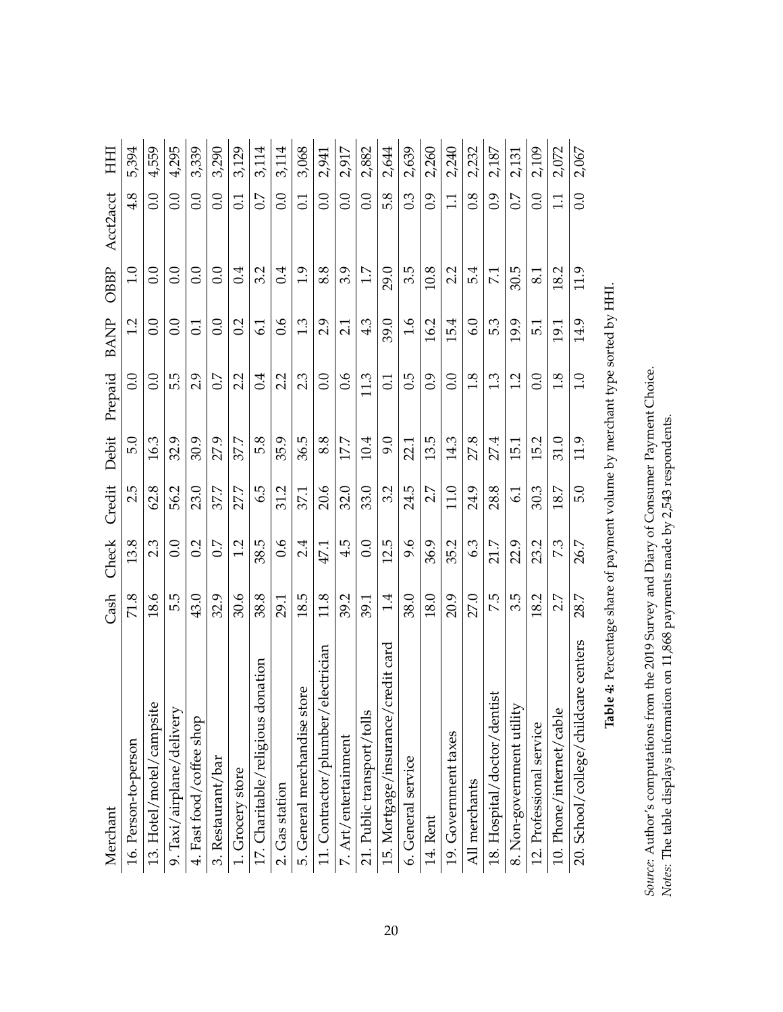<span id="page-20-0"></span>

| Merchant                               | Cash | Check  | Credit | Debit | Prepaid          | <b>BANP</b>      | OBBP         | Acct2acct        | HН    |
|----------------------------------------|------|--------|--------|-------|------------------|------------------|--------------|------------------|-------|
| 16. Person-to-person                   | 71.8 | 13.8   | 2.5    | 5.0   | 0.0              | 1.2              | 1.0          | 4.8              | 5,394 |
| 13. Hotel/motel/campsite               | 18.6 | 2.3    | 62.8   | 16.3  | 0.0              | 0.0              | 0.0          | 0.0              | 4,559 |
| 9. Taxi/airplane/delivery              | 5.5  | 0.0    | 56.2   | 32.9  | 5.5              | $_{\rm 0.0}$     | 0.0          | 0.0              | 4,295 |
| 4. Fast food/coffee shop               | 43.0 | 0.2    | 23.0   | 30.9  | 2.9              | $\overline{0.1}$ | 0.0          | 0.0              | 3,339 |
| 3. Restaurant/bar                      | 32.9 | $\sim$ | 37.7   | 27.9  | 0.7              | $_{\rm 0.0}$     | $_{\rm 0.0}$ | 0.0              | 3,290 |
| 1. Grocery store                       | 30.6 | 1.2    | 27.7   | 37.7  | 2.2              | 0.2              | 0.4          | 0.1              | 3,129 |
| 17. Charitable/religious donation      | 38.8 | 38.5   | 6.5    | 5.8   | 0.4              | 6.1              | 3.2          | $\overline{0}$   | 3,114 |
| 2. Gas station                         | 29.1 | 0.6    | 31.2   | 35.9  | 2.2              | 0.6              | 0.4          | 0.0              | 3,114 |
| ore<br>5. General merchandise st       | 18.5 | 2.4    | 37.1   | 36.5  | 2.3              | 1.3              | 1.9          | $\overline{0.1}$ | 3,068 |
| electrician<br>11. Contractor/plumber/ | 11.8 | 47.1   | 20.6   | 8.8   | 0.0              | 2.9              | 8.8          | 0.0              | 2,941 |
| 7. Art/entertainment                   | 39.2 | 4.5    | 32.0   | 17.7  | 0.6              | 2.1              | 3.9          | 0.0              | 2,917 |
| 21. Public transport/tolls             | 39.1 | 0.0    | 33.0   | 10.4  | 11.3             | 4.3              | 1.7          | 0.0              | 2,882 |
| credit card<br>15. Mortgage/insurance/ | 1.4  | 12.5   | 3.2    | 9.0   | $\overline{0.1}$ | 39.0             | 29.0         | 5.8              | 2,644 |
| 6. General service                     | 38.0 | 9.6    | 24.5   | 22.1  | 0.5              | $\frac{9}{10}$   | 3.5          | 0.3              | 2,639 |
| 14. Rent                               | 18.0 | 36.9   | 2.7    | 13.5  | $\overline{0.9}$ | 16.2             | 10.8         | 6.0              | 2,260 |
| 19. Government taxes                   | 20.9 | 35.2   | 11.0   | 14.3  | 0.0              | 15.4             | 2.2          | $\frac{1}{1}$    | 2,240 |
| All merchants                          | 27.0 | 6.3    | 24.9   | 27.8  | 1.8              | 6.0              | 5.4          | $\overline{0.8}$ | 2,232 |
| 18. Hospital/doctor/dentist            | 7.5  | 21.7   | 28.8   | 27.4  | 1.3              | 5.3              | 7.1          | 6.0              | 2,187 |
| 8. Non-government utility              | 3.5  | 22.9   | 6.1    | 15.1  | 1.2              | 19.9             | 30.5         | 0.7              | 2,131 |
| 12. Professional service               | 18.2 | 23.2   | 30.3   | 15.2  | 0.0              | 5.1              | 8.1          | 0.0              | 2,109 |
| 10. Phone/internet/cable               | 2.7  | 7.3    | 18.7   | 31.0  | 1.8              | 19.1             | 18.2         | 1.1              | 2,072 |
| 20. School/college/childcare centers   | 28.7 | 26.7   | 5.0    | 11.9  | 1.0              | 14.9             | 11.9         | 0.0              | 2,067 |

Table 4: Percentage share of payment volume by merchant type sorted by HHI. **Table 4:** Percentage share of payment volume by merchant type sorted by HHI.

Source: Author's computations from the 2019 Survey and Diary of Consumer Payment Choice. *Source*: Author's computations from the 2019 Survey and Diary of Consumer Payment Choice. Notes: The table displays information on 11,868 payments made by 2,543 respondents. *Notes*: The table displays information on 11,868 payments made by 2,543 respondents.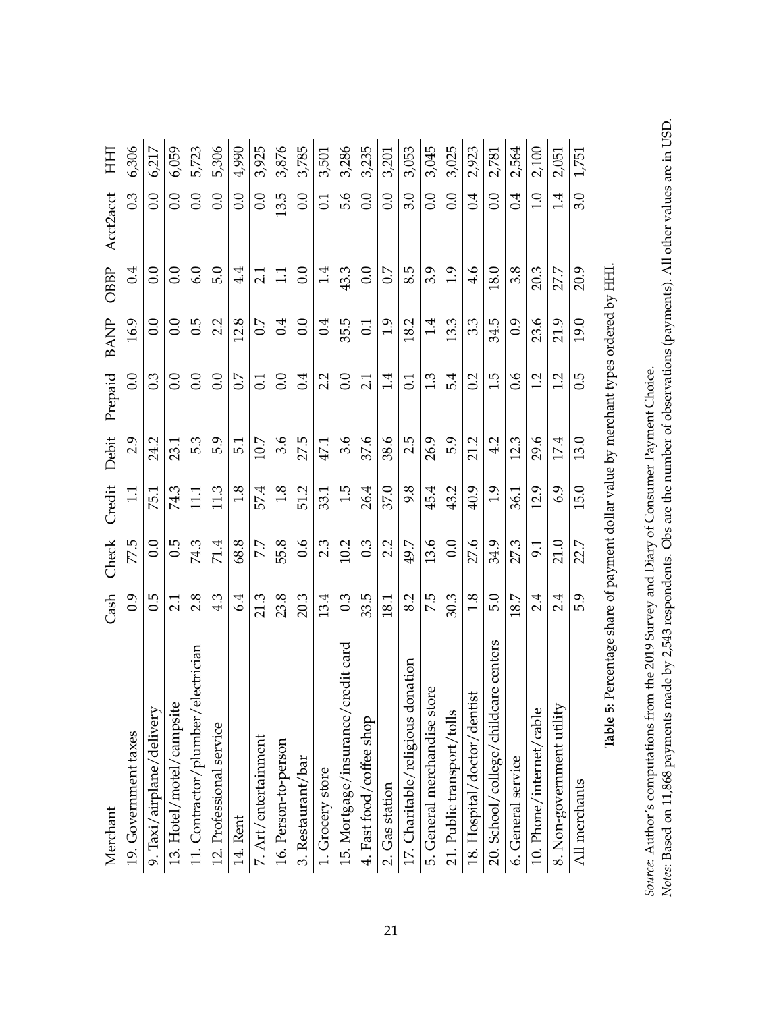<span id="page-21-0"></span>

| Merchant                               | Cash            | Check | Credit        | Debit           | Prepaid          | <b>BANP</b> | OBBP     | Acct2acct | HH    |
|----------------------------------------|-----------------|-------|---------------|-----------------|------------------|-------------|----------|-----------|-------|
| 19. Government taxes                   | $\overline{6}0$ | 77.5  | $\Xi$         | 2.9             | 0.0              | 16.9        | 0.4      | 0.3       | 6,306 |
| 9. Taxi/airplane/delivery              | 0.5             | 0.0   | 75.1          | 24.2            | $0.\overline{3}$ | 0.0         | 0.0      | 0.0       | 6,217 |
| 13. Hotel/motel/campsite               | 2.1             | 6.5   | 74.3          | 23.1            | 0.0              | 0.0         | 0.0      | 0.0       | 6,059 |
| electrician<br>11. Contractor/plumber/ | 2.8             | 74.3  | $\Xi$         | 5.3             | 0.0              | 0.5         | 6.0      | 0.0       | 5,723 |
| 12. Professional service               | 4.3             | 71.4  | 11.3          | 5.9             | 0.0              | 2.2         | 5.0      | 0.0       | 5,306 |
| 14. Rent                               | 6.4             | 68.8  | $\frac{8}{1}$ | $\overline{51}$ | 0.7              | 12.8        | $4\cdot$ | 0.0       | 4,990 |
| 7. Art/entertainment                   | 21.3            | 7.7   | 57.4          | 10.7            | $\overline{0}$ : | 0.7         | 21       | 0.0       | 3,925 |
| 16. Person-to-person                   | 23.8            | 55.8  | 1.8           | 3.6             | 0.0              | 0.4         | $\Xi$    | 13.5      | 3,876 |
| 3. Restaurant/bar                      | 20.3            | 0.6   | 51.2          | 27.5            | 0.4              | 0.0         | 0.0      | 0.0       | 3,785 |
| 1. Grocery store                       | 13.4            | 2.3   | 33.1          | 47.1            | 2.2              | 0.4         | 1.4      | 0.1       | 3,501 |
| credit card<br>15. Mortgage/insurance/ | 0.3             | 10.2  | 1.5           | 3.6             | 0.0              | 35.5        | 43.3     | 5.6       | 3,286 |
| 4. Fast food/coffee shop               | 33.5            | 0.3   | 26.4          | 37.6            | 21               | 0.1         | 0.0      | 0.0       | 3,235 |
| 2. Gas station                         | 18.1            | 2.2   | 37.0          | 38.6            | 1.4              | 1.9         | 0.7      | 0.0       | 3,201 |
| 17. Charitable/religious donation      | 8.2             | 49.7  | 9.8           | 2.5             | 0.1              | 18.2        | 8.5      | 3.0       | 3,053 |
| ore<br>5. General merchandise st       | 7.5             | 13.6  | 45.4          | 26.9            | 1.3              | 1.4         | 3.9      | 0.0       | 3,045 |
| 21. Public transport/tolls             | 30.3            | 0.0   | 43.2          | 5.9             | 5.4              | 13.3        | 1.9      | 0.0       | 3,025 |
| 18. Hospital/doctor/dentist            | 1.8             | 27.6  | 40.9          | 21.2            | 0.2              | 3.3         | 4.6      | 0.4       | 2,923 |
| 20. School/college/childcare centers   | 5.0             | 34.9  | $\ddot{0}$    | 4.2             | 1.5              | 34.5        | 18.0     | 0.0       | 2,781 |
| 6. General service                     | 18.7            | 27.3  | 36.1          | 12.3            | 0.6              | 0.9         | 3.8      | 0.4       | 2,564 |
| 10. Phone/internet/cable               | 2.4             | 9.1   | 12.9          | 29.6            | 1.2              | 23.6        | 20.3     | 1.0       | 2,100 |
| 8. Non-government utility              | 2.4             | 21.0  | 6.9           | 17.4            | 1.2              | 21.9        | 27.7     | 1.4       | 2,051 |
| All merchants                          | 5.9             | 22.7  | 15.0          | 13.0            | 0.5              | 19.0        | 20.9     | 3.0       | 1,751 |

Table 5: Percentage share of payment dollar value by merchant types ordered by HHI. **Table 5:** Percentage share of payment dollar value by merchant types ordered by HHI.

Notes: Based on 11,868 payments made by 2,543 respondents. Obs are the number of observations (payments). All other values are in USD. *Notes*: Based on 11,868 payments made by 2,543 respondents. Obs are the number of observations (payments). All other values are in USD. Source: Author's computations from the 2019 Survey and Diary of Consumer Payment Choice. *Source*: Author's computations from the 2019 Survey and Diary of Consumer Payment Choice.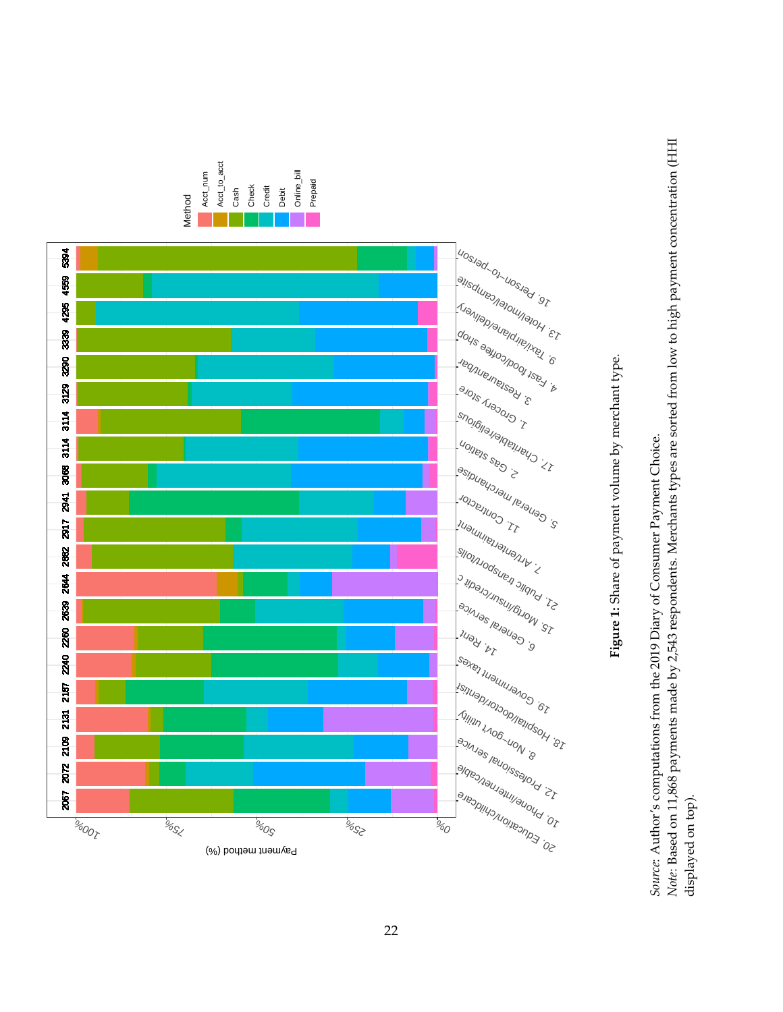<span id="page-22-0"></span>



Source: Author's computations from the 2019 Diary of Consumer Payment Choice. *Source*: Author's computations from the 2019 Diary of Consumer Payment Choice.

Note: Based on 11,868 payments made by 2,543 respondents. Merchants types are sorted from low to high payment concentration (HHI *Note*: Based on 11,868 payments made by 2,543 respondents. Merchants types are sorted from low to high payment concentration (HHI displayed on top). displayed on top).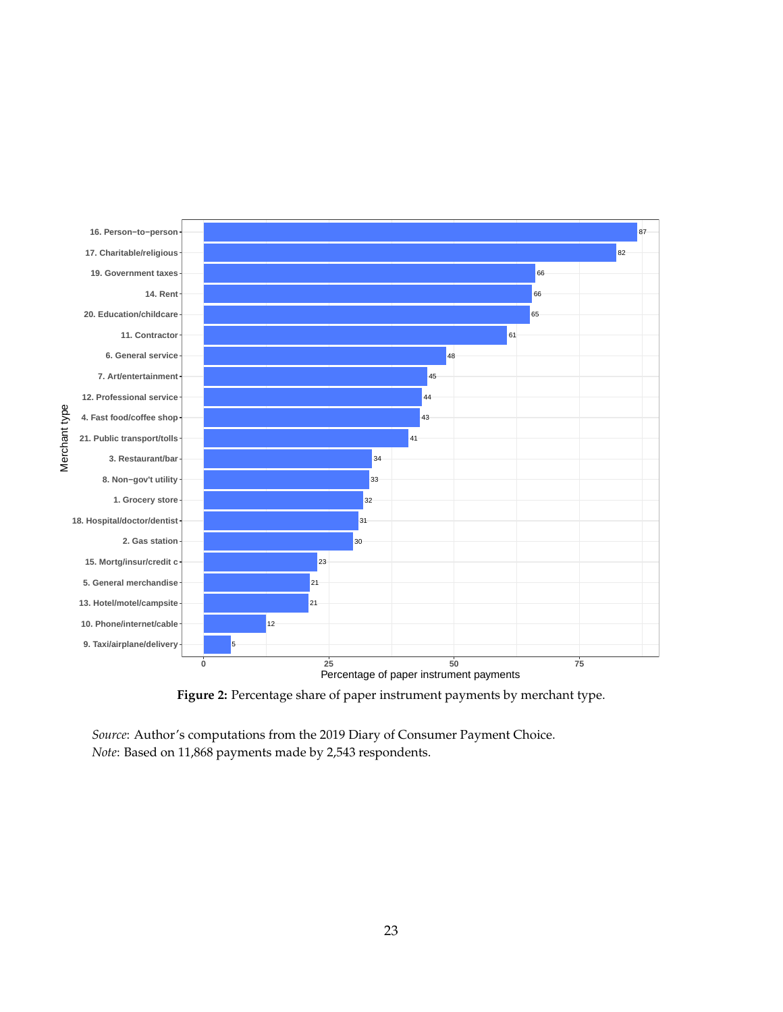<span id="page-23-0"></span>

**Figure 2:** Percentage share of paper instrument payments by merchant type.

*Source*: Author's computations from the 2019 Diary of Consumer Payment Choice. *Note*: Based on 11,868 payments made by 2,543 respondents.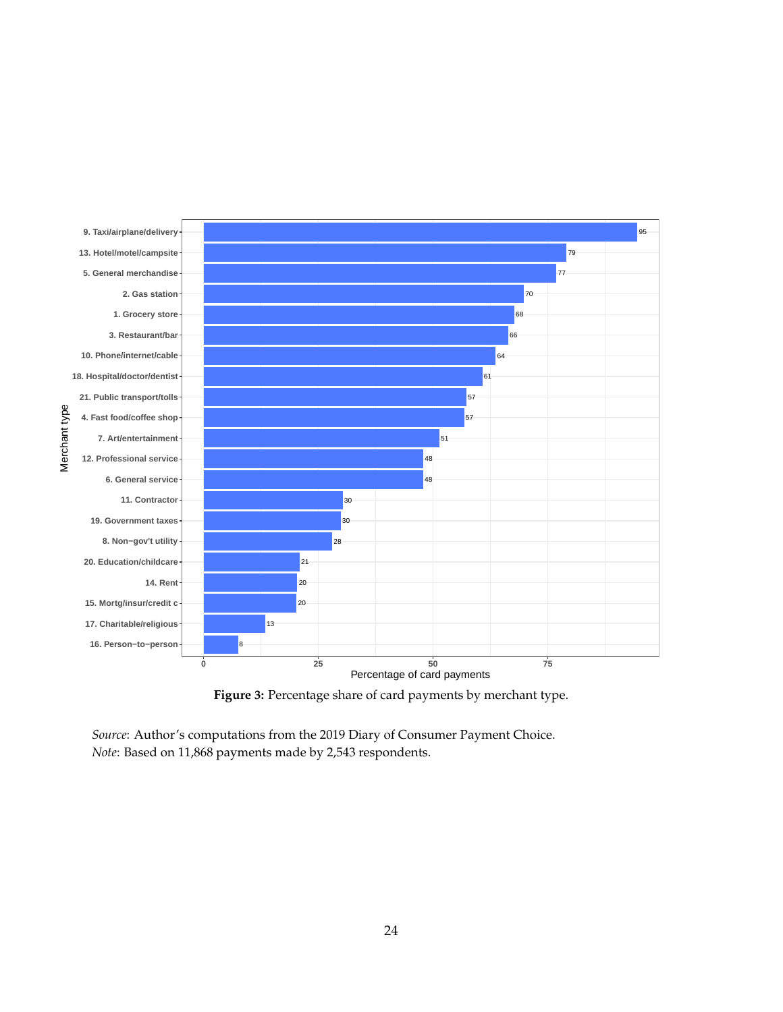<span id="page-24-0"></span>

**Figure 3:** Percentage share of card payments by merchant type.

*Source*: Author's computations from the 2019 Diary of Consumer Payment Choice. *Note*: Based on 11,868 payments made by 2,543 respondents.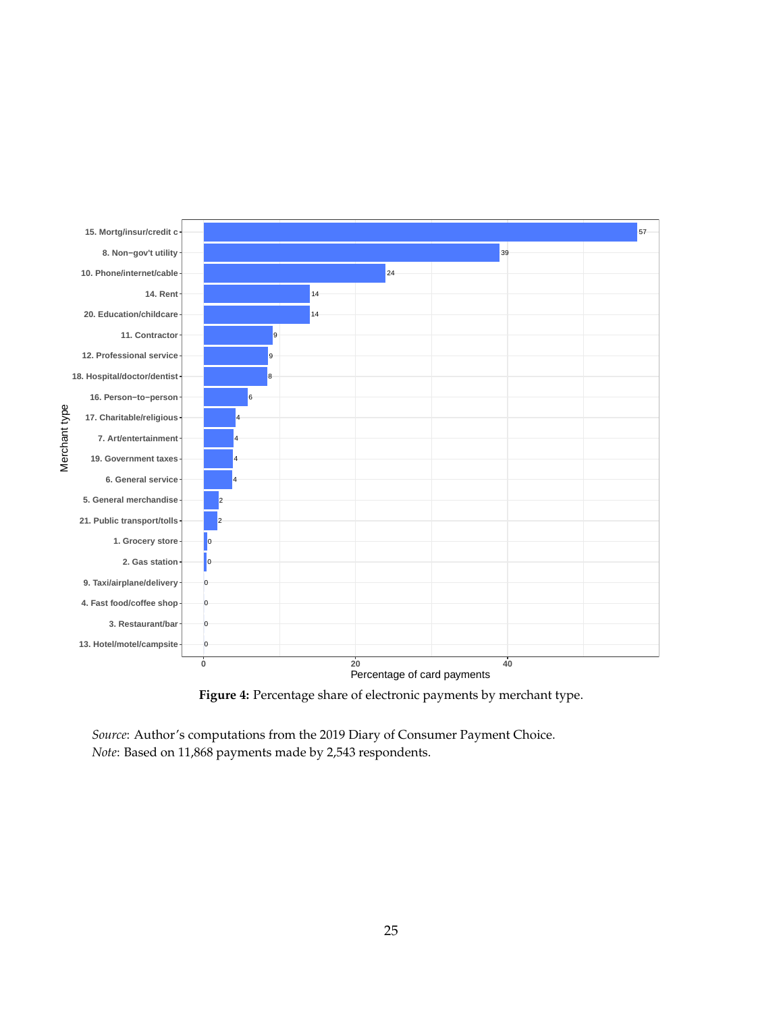<span id="page-25-0"></span>

**Figure 4:** Percentage share of electronic payments by merchant type.

*Source*: Author's computations from the 2019 Diary of Consumer Payment Choice. *Note*: Based on 11,868 payments made by 2,543 respondents.